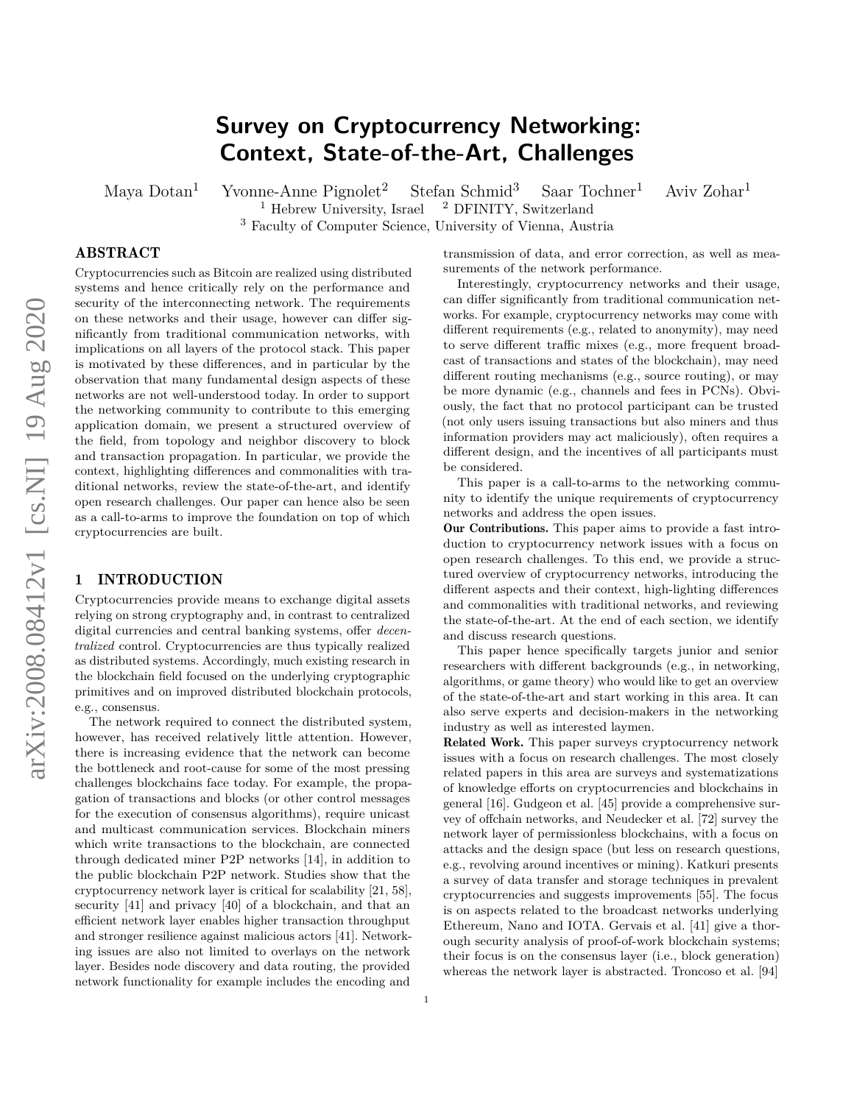# **Survey on Cryptocurrency Networking: Context, State-of-the-Art, Challenges**

Maya Dotan<sup>1</sup> Yvonne-Anne Pignolet<sup>2</sup> Stefan Schmid<sup>3</sup> Saar Tochner<sup>1</sup> Aviv Zohar<sup>1</sup><sup>1</sup> Hebrew University, Israel<sup>2</sup> DFINITY, Switzerland  $<sup>1</sup>$  Hebrew University, Israel</sup>

<sup>3</sup> Faculty of Computer Science, University of Vienna, Austria

# ABSTRACT

Cryptocurrencies such as Bitcoin are realized using distributed systems and hence critically rely on the performance and security of the interconnecting network. The requirements on these networks and their usage, however can differ significantly from traditional communication networks, with implications on all layers of the protocol stack. This paper is motivated by these differences, and in particular by the observation that many fundamental design aspects of these networks are not well-understood today. In order to support the networking community to contribute to this emerging application domain, we present a structured overview of the field, from topology and neighbor discovery to block and transaction propagation. In particular, we provide the context, highlighting differences and commonalities with traditional networks, review the state-of-the-art, and identify open research challenges. Our paper can hence also be seen as a call-to-arms to improve the foundation on top of which cryptocurrencies are built.

#### 1 INTRODUCTION

Cryptocurrencies provide means to exchange digital assets relying on strong cryptography and, in contrast to centralized digital currencies and central banking systems, offer *decentralized* control. Cryptocurrencies are thus typically realized as distributed systems. Accordingly, much existing research in the blockchain field focused on the underlying cryptographic primitives and on improved distributed blockchain protocols, e.g., consensus.

The network required to connect the distributed system, however, has received relatively little attention. However, there is increasing evidence that the network can become the bottleneck and root-cause for some of the most pressing challenges blockchains face today. For example, the propagation of transactions and blocks (or other control messages for the execution of consensus algorithms), require unicast and multicast communication services. Blockchain miners which write transactions to the blockchain, are connected through dedicated miner P2P networks [\[14\]](#page-15-0), in addition to the public blockchain P2P network. Studies show that the cryptocurrency network layer is critical for scalability [\[21,](#page-15-1) [58\]](#page-16-0), security [\[41\]](#page-16-1) and privacy [\[40\]](#page-16-2) of a blockchain, and that an efficient network layer enables higher transaction throughput and stronger resilience against malicious actors [\[41\]](#page-16-1). Networking issues are also not limited to overlays on the network layer. Besides node discovery and data routing, the provided network functionality for example includes the encoding and

transmission of data, and error correction, as well as measurements of the network performance.

Interestingly, cryptocurrency networks and their usage, can differ significantly from traditional communication networks. For example, cryptocurrency networks may come with different requirements (e.g., related to anonymity), may need to serve different traffic mixes (e.g., more frequent broadcast of transactions and states of the blockchain), may need different routing mechanisms (e.g., source routing), or may be more dynamic (e.g., channels and fees in PCNs). Obviously, the fact that no protocol participant can be trusted (not only users issuing transactions but also miners and thus information providers may act maliciously), often requires a different design, and the incentives of all participants must be considered.

This paper is a call-to-arms to the networking community to identify the unique requirements of cryptocurrency networks and address the open issues.

Our Contributions. This paper aims to provide a fast introduction to cryptocurrency network issues with a focus on open research challenges. To this end, we provide a structured overview of cryptocurrency networks, introducing the different aspects and their context, high-lighting differences and commonalities with traditional networks, and reviewing the state-of-the-art. At the end of each section, we identify and discuss research questions.

This paper hence specifically targets junior and senior researchers with different backgrounds (e.g., in networking, algorithms, or game theory) who would like to get an overview of the state-of-the-art and start working in this area. It can also serve experts and decision-makers in the networking industry as well as interested laymen.

Related Work. This paper surveys cryptocurrency network issues with a focus on research challenges. The most closely related papers in this area are surveys and systematizations of knowledge efforts on cryptocurrencies and blockchains in general [\[16\]](#page-15-2). Gudgeon et al. [\[45\]](#page-16-3) provide a comprehensive survey of offchain networks, and Neudecker et al. [\[72\]](#page-17-0) survey the network layer of permissionless blockchains, with a focus on attacks and the design space (but less on research questions, e.g., revolving around incentives or mining). Katkuri presents a survey of data transfer and storage techniques in prevalent cryptocurrencies and suggests improvements [\[55\]](#page-16-4). The focus is on aspects related to the broadcast networks underlying Ethereum, Nano and IOTA. Gervais et al. [\[41\]](#page-16-1) give a thorough security analysis of proof-of-work blockchain systems; their focus is on the consensus layer (i.e., block generation) whereas the network layer is abstracted. Troncoso et al. [\[94\]](#page-17-1)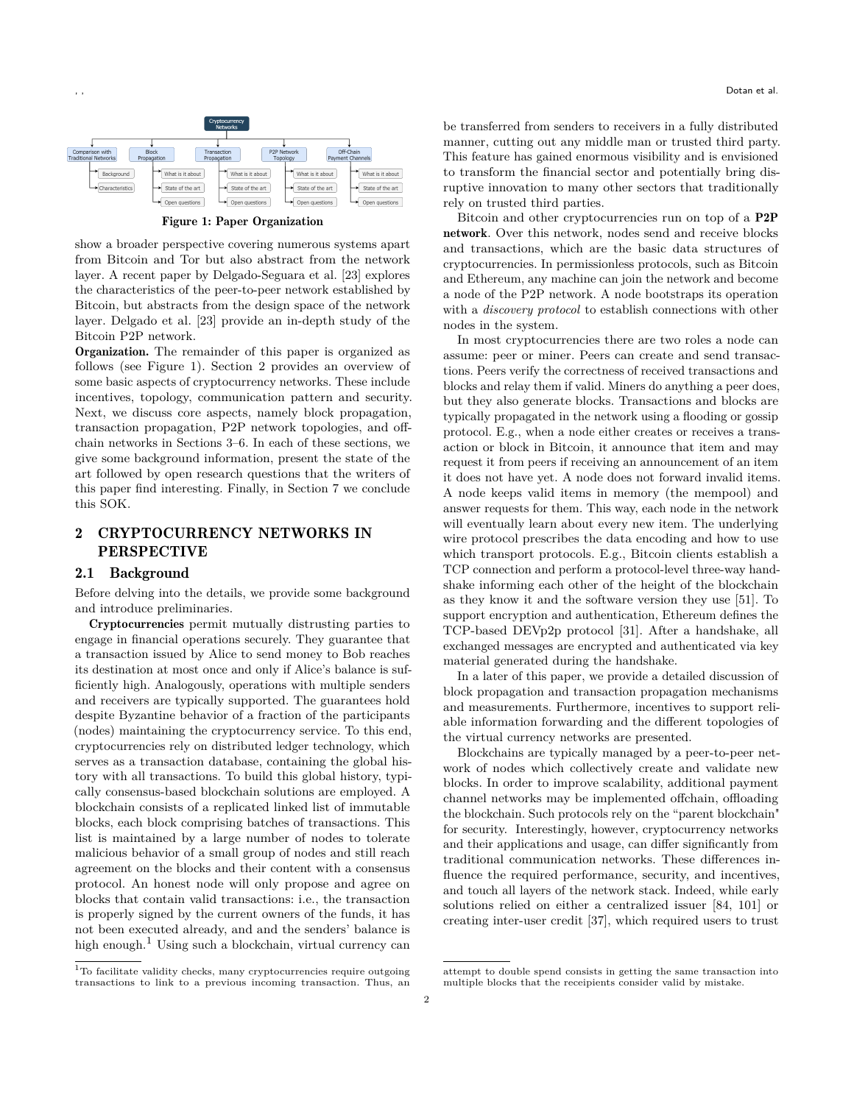<span id="page-1-0"></span>

Figure 1: Paper Organization

show a broader perspective covering numerous systems apart from Bitcoin and Tor but also abstract from the network layer. A recent paper by Delgado-Seguara et al. [\[23\]](#page-15-3) explores the characteristics of the peer-to-peer network established by Bitcoin, but abstracts from the design space of the network layer. Delgado et al. [\[23\]](#page-15-3) provide an in-depth study of the Bitcoin P2P network.

Organization. The remainder of this paper is organized as follows (see Figure [1\)](#page-1-0). Section [2](#page-1-1) provides an overview of some basic aspects of cryptocurrency networks. These include incentives, topology, communication pattern and security. Next, we discuss core aspects, namely block propagation, transaction propagation, P2P network topologies, and offchain networks in Sections [3–](#page-3-0)[6.](#page-12-0) In each of these sections, we give some background information, present the state of the art followed by open research questions that the writers of this paper find interesting. Finally, in Section [7](#page-15-4) we conclude this SOK.

# <span id="page-1-1"></span>2 CRYPTOCURRENCY NETWORKS IN PERSPECTIVE

### 2.1 Background

Before delving into the details, we provide some background and introduce preliminaries.

Cryptocurrencies permit mutually distrusting parties to engage in financial operations securely. They guarantee that a transaction issued by Alice to send money to Bob reaches its destination at most once and only if Alice's balance is sufficiently high. Analogously, operations with multiple senders and receivers are typically supported. The guarantees hold despite Byzantine behavior of a fraction of the participants (nodes) maintaining the cryptocurrency service. To this end, cryptocurrencies rely on distributed ledger technology, which serves as a transaction database, containing the global history with all transactions. To build this global history, typically consensus-based blockchain solutions are employed. A blockchain consists of a replicated linked list of immutable blocks, each block comprising batches of transactions. This list is maintained by a large number of nodes to tolerate malicious behavior of a small group of nodes and still reach agreement on the blocks and their content with a consensus protocol. An honest node will only propose and agree on blocks that contain valid transactions: i.e., the transaction is properly signed by the current owners of the funds, it has not been executed already, and and the senders' balance is high enough.<sup>[1](#page-1-2)</sup> Using such a blockchain, virtual currency can

be transferred from senders to receivers in a fully distributed manner, cutting out any middle man or trusted third party. This feature has gained enormous visibility and is envisioned to transform the financial sector and potentially bring disruptive innovation to many other sectors that traditionally rely on trusted third parties.

Bitcoin and other cryptocurrencies run on top of a P2P network. Over this network, nodes send and receive blocks and transactions, which are the basic data structures of cryptocurrencies. In permissionless protocols, such as Bitcoin and Ethereum, any machine can join the network and become a node of the P2P network. A node bootstraps its operation with a *discovery protocol* to establish connections with other nodes in the system.

In most cryptocurrencies there are two roles a node can assume: peer or miner. Peers can create and send transactions. Peers verify the correctness of received transactions and blocks and relay them if valid. Miners do anything a peer does, but they also generate blocks. Transactions and blocks are typically propagated in the network using a flooding or gossip protocol. E.g., when a node either creates or receives a transaction or block in Bitcoin, it announce that item and may request it from peers if receiving an announcement of an item it does not have yet. A node does not forward invalid items. A node keeps valid items in memory (the mempool) and answer requests for them. This way, each node in the network will eventually learn about every new item. The underlying wire protocol prescribes the data encoding and how to use which transport protocols. E.g., Bitcoin clients establish a TCP connection and perform a protocol-level three-way handshake informing each other of the height of the blockchain as they know it and the software version they use [\[51\]](#page-16-5). To support encryption and authentication, Ethereum defines the TCP-based DEVp2p protocol [\[31\]](#page-16-6). After a handshake, all exchanged messages are encrypted and authenticated via key material generated during the handshake.

In a later of this paper, we provide a detailed discussion of block propagation and transaction propagation mechanisms and measurements. Furthermore, incentives to support reliable information forwarding and the different topologies of the virtual currency networks are presented.

Blockchains are typically managed by a peer-to-peer network of nodes which collectively create and validate new blocks. In order to improve scalability, additional payment channel networks may be implemented offchain, offloading the blockchain. Such protocols rely on the "parent blockchain" for security. Interestingly, however, cryptocurrency networks and their applications and usage, can differ significantly from traditional communication networks. These differences influence the required performance, security, and incentives, and touch all layers of the network stack. Indeed, while early solutions relied on either a centralized issuer [\[84,](#page-17-2) [101\]](#page-17-3) or creating inter-user credit [\[37\]](#page-16-7), which required users to trust

<span id="page-1-2"></span> $1$ To facilitate validity checks, many cryptocurrencies require outgoing transactions to link to a previous incoming transaction. Thus, an

attempt to double spend consists in getting the same transaction into multiple blocks that the receipients consider valid by mistake.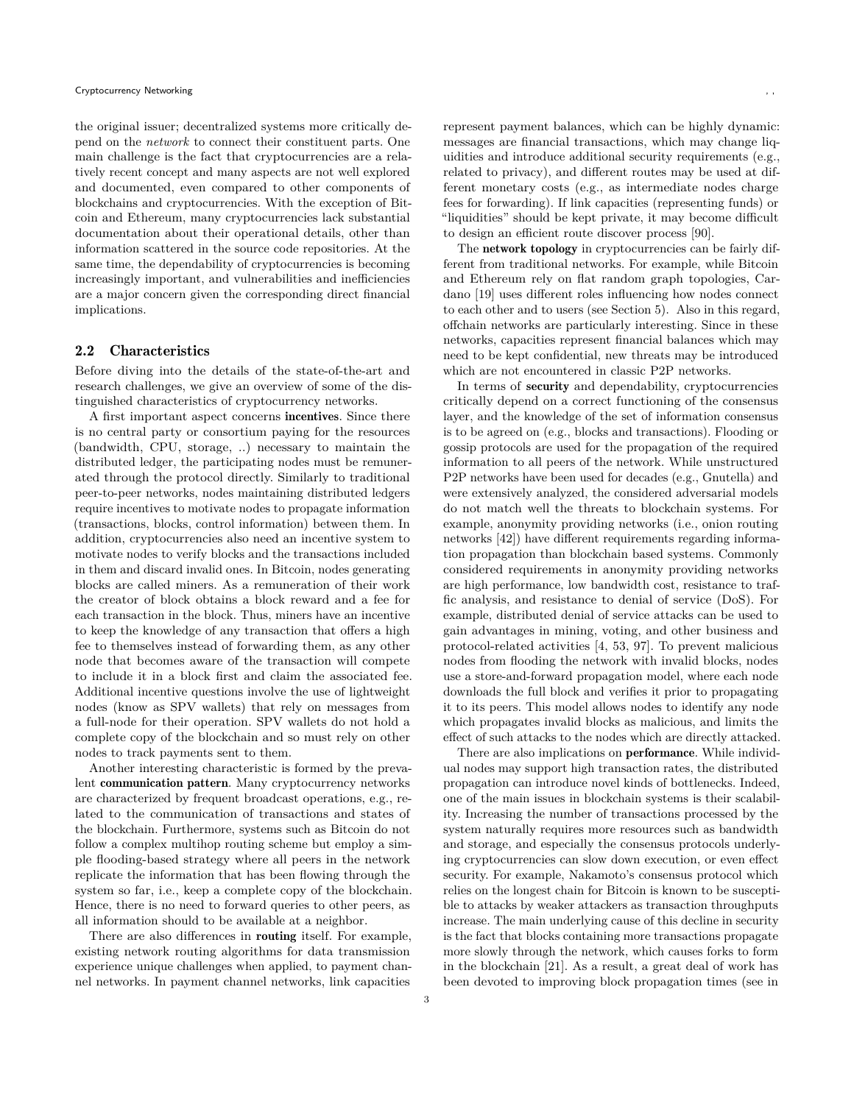the original issuer; decentralized systems more critically depend on the *network* to connect their constituent parts. One main challenge is the fact that cryptocurrencies are a relatively recent concept and many aspects are not well explored and documented, even compared to other components of blockchains and cryptocurrencies. With the exception of Bitcoin and Ethereum, many cryptocurrencies lack substantial documentation about their operational details, other than information scattered in the source code repositories. At the same time, the dependability of cryptocurrencies is becoming increasingly important, and vulnerabilities and inefficiencies are a major concern given the corresponding direct financial implications.

#### 2.2 Characteristics

Before diving into the details of the state-of-the-art and research challenges, we give an overview of some of the distinguished characteristics of cryptocurrency networks.

A first important aspect concerns incentives. Since there is no central party or consortium paying for the resources (bandwidth, CPU, storage, ..) necessary to maintain the distributed ledger, the participating nodes must be remunerated through the protocol directly. Similarly to traditional peer-to-peer networks, nodes maintaining distributed ledgers require incentives to motivate nodes to propagate information (transactions, blocks, control information) between them. In addition, cryptocurrencies also need an incentive system to motivate nodes to verify blocks and the transactions included in them and discard invalid ones. In Bitcoin, nodes generating blocks are called miners. As a remuneration of their work the creator of block obtains a block reward and a fee for each transaction in the block. Thus, miners have an incentive to keep the knowledge of any transaction that offers a high fee to themselves instead of forwarding them, as any other node that becomes aware of the transaction will compete to include it in a block first and claim the associated fee. Additional incentive questions involve the use of lightweight nodes (know as SPV wallets) that rely on messages from a full-node for their operation. SPV wallets do not hold a complete copy of the blockchain and so must rely on other nodes to track payments sent to them.

Another interesting characteristic is formed by the prevalent communication pattern. Many cryptocurrency networks are characterized by frequent broadcast operations, e.g., related to the communication of transactions and states of the blockchain. Furthermore, systems such as Bitcoin do not follow a complex multihop routing scheme but employ a simple flooding-based strategy where all peers in the network replicate the information that has been flowing through the system so far, i.e., keep a complete copy of the blockchain. Hence, there is no need to forward queries to other peers, as all information should to be available at a neighbor.

There are also differences in routing itself. For example, existing network routing algorithms for data transmission experience unique challenges when applied, to payment channel networks. In payment channel networks, link capacities

represent payment balances, which can be highly dynamic: messages are financial transactions, which may change liquidities and introduce additional security requirements (e.g., related to privacy), and different routes may be used at different monetary costs (e.g., as intermediate nodes charge fees for forwarding). If link capacities (representing funds) or "liquidities" should be kept private, it may become difficult to design an efficient route discover process [\[90\]](#page-17-4).

The network topology in cryptocurrencies can be fairly different from traditional networks. For example, while Bitcoin and Ethereum rely on flat random graph topologies, Cardano [\[19\]](#page-15-5) uses different roles influencing how nodes connect to each other and to users (see Section [5\)](#page-8-0). Also in this regard, offchain networks are particularly interesting. Since in these networks, capacities represent financial balances which may need to be kept confidential, new threats may be introduced which are not encountered in classic P2P networks.

In terms of security and dependability, cryptocurrencies critically depend on a correct functioning of the consensus layer, and the knowledge of the set of information consensus is to be agreed on (e.g., blocks and transactions). Flooding or gossip protocols are used for the propagation of the required information to all peers of the network. While unstructured P2P networks have been used for decades (e.g., Gnutella) and were extensively analyzed, the considered adversarial models do not match well the threats to blockchain systems. For example, anonymity providing networks (i.e., onion routing networks [\[42\]](#page-16-8)) have different requirements regarding information propagation than blockchain based systems. Commonly considered requirements in anonymity providing networks are high performance, low bandwidth cost, resistance to traffic analysis, and resistance to denial of service (DoS). For example, distributed denial of service attacks can be used to gain advantages in mining, voting, and other business and protocol-related activities [\[4,](#page-15-6) [53,](#page-16-9) [97\]](#page-17-5). To prevent malicious nodes from flooding the network with invalid blocks, nodes use a store-and-forward propagation model, where each node downloads the full block and verifies it prior to propagating it to its peers. This model allows nodes to identify any node which propagates invalid blocks as malicious, and limits the effect of such attacks to the nodes which are directly attacked.

There are also implications on performance. While individual nodes may support high transaction rates, the distributed propagation can introduce novel kinds of bottlenecks. Indeed, one of the main issues in blockchain systems is their scalability. Increasing the number of transactions processed by the system naturally requires more resources such as bandwidth and storage, and especially the consensus protocols underlying cryptocurrencies can slow down execution, or even effect security. For example, Nakamoto's consensus protocol which relies on the longest chain for Bitcoin is known to be susceptible to attacks by weaker attackers as transaction throughputs increase. The main underlying cause of this decline in security is the fact that blocks containing more transactions propagate more slowly through the network, which causes forks to form in the blockchain [\[21\]](#page-15-1). As a result, a great deal of work has been devoted to improving block propagation times (see in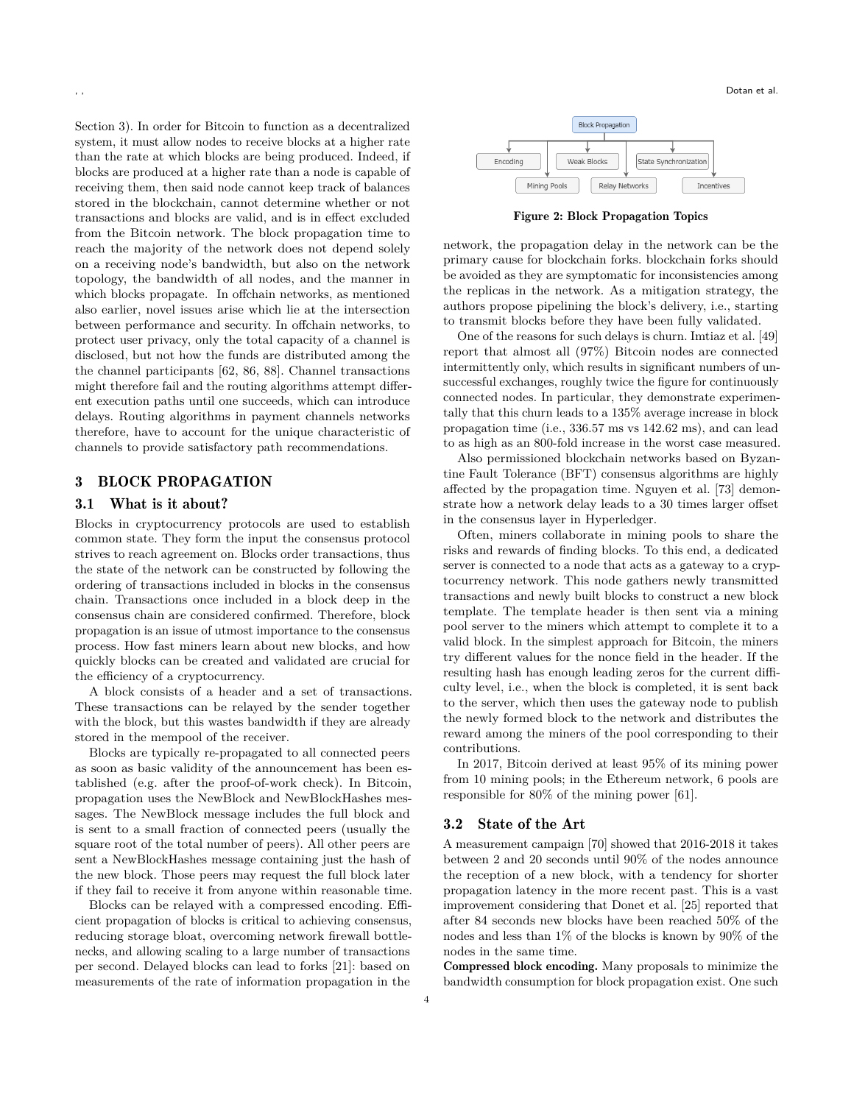Section [3\)](#page-3-0). In order for Bitcoin to function as a decentralized system, it must allow nodes to receive blocks at a higher rate than the rate at which blocks are being produced. Indeed, if blocks are produced at a higher rate than a node is capable of receiving them, then said node cannot keep track of balances stored in the blockchain, cannot determine whether or not transactions and blocks are valid, and is in effect excluded from the Bitcoin network. The block propagation time to reach the majority of the network does not depend solely on a receiving node's bandwidth, but also on the network topology, the bandwidth of all nodes, and the manner in which blocks propagate. In offchain networks, as mentioned also earlier, novel issues arise which lie at the intersection between performance and security. In offchain networks, to protect user privacy, only the total capacity of a channel is disclosed, but not how the funds are distributed among the the channel participants [\[62,](#page-16-10) [86,](#page-17-6) [88\]](#page-17-7). Channel transactions might therefore fail and the routing algorithms attempt different execution paths until one succeeds, which can introduce delays. Routing algorithms in payment channels networks therefore, have to account for the unique characteristic of channels to provide satisfactory path recommendations.

# <span id="page-3-0"></span>3 BLOCK PROPAGATION

# 3.1 What is it about?

Blocks in cryptocurrency protocols are used to establish common state. They form the input the consensus protocol strives to reach agreement on. Blocks order transactions, thus the state of the network can be constructed by following the ordering of transactions included in blocks in the consensus chain. Transactions once included in a block deep in the consensus chain are considered confirmed. Therefore, block propagation is an issue of utmost importance to the consensus process. How fast miners learn about new blocks, and how quickly blocks can be created and validated are crucial for the efficiency of a cryptocurrency.

A block consists of a header and a set of transactions. These transactions can be relayed by the sender together with the block, but this wastes bandwidth if they are already stored in the mempool of the receiver.

Blocks are typically re-propagated to all connected peers as soon as basic validity of the announcement has been established (e.g. after the proof-of-work check). In Bitcoin, propagation uses the NewBlock and NewBlockHashes messages. The NewBlock message includes the full block and is sent to a small fraction of connected peers (usually the square root of the total number of peers). All other peers are sent a NewBlockHashes message containing just the hash of the new block. Those peers may request the full block later if they fail to receive it from anyone within reasonable time.

Blocks can be relayed with a compressed encoding. Efficient propagation of blocks is critical to achieving consensus, reducing storage bloat, overcoming network firewall bottlenecks, and allowing scaling to a large number of transactions per second. Delayed blocks can lead to forks [\[21\]](#page-15-1): based on measurements of the rate of information propagation in the



Figure 2: Block Propagation Topics

network, the propagation delay in the network can be the primary cause for blockchain forks. blockchain forks should be avoided as they are symptomatic for inconsistencies among the replicas in the network. As a mitigation strategy, the authors propose pipelining the block's delivery, i.e., starting to transmit blocks before they have been fully validated.

One of the reasons for such delays is churn. Imtiaz et al. [\[49\]](#page-16-11) report that almost all (97%) Bitcoin nodes are connected intermittently only, which results in significant numbers of unsuccessful exchanges, roughly twice the figure for continuously connected nodes. In particular, they demonstrate experimentally that this churn leads to a 135% average increase in block propagation time (i.e., 336.57 ms vs 142.62 ms), and can lead to as high as an 800-fold increase in the worst case measured.

Also permissioned blockchain networks based on Byzantine Fault Tolerance (BFT) consensus algorithms are highly affected by the propagation time. Nguyen et al. [\[73\]](#page-17-8) demonstrate how a network delay leads to a 30 times larger offset in the consensus layer in Hyperledger.

Often, miners collaborate in mining pools to share the risks and rewards of finding blocks. To this end, a dedicated server is connected to a node that acts as a gateway to a cryptocurrency network. This node gathers newly transmitted transactions and newly built blocks to construct a new block template. The template header is then sent via a mining pool server to the miners which attempt to complete it to a valid block. In the simplest approach for Bitcoin, the miners try different values for the nonce field in the header. If the resulting hash has enough leading zeros for the current difficulty level, i.e., when the block is completed, it is sent back to the server, which then uses the gateway node to publish the newly formed block to the network and distributes the reward among the miners of the pool corresponding to their contributions.

In 2017, Bitcoin derived at least 95% of its mining power from 10 mining pools; in the Ethereum network, 6 pools are responsible for 80% of the mining power [\[61\]](#page-16-12).

#### 3.2 State of the Art

A measurement campaign [\[70\]](#page-16-13) showed that 2016-2018 it takes between 2 and 20 seconds until 90% of the nodes announce the reception of a new block, with a tendency for shorter propagation latency in the more recent past. This is a vast improvement considering that Donet et al. [\[25\]](#page-15-7) reported that after 84 seconds new blocks have been reached 50% of the nodes and less than 1% of the blocks is known by 90% of the nodes in the same time.

Compressed block encoding. Many proposals to minimize the bandwidth consumption for block propagation exist. One such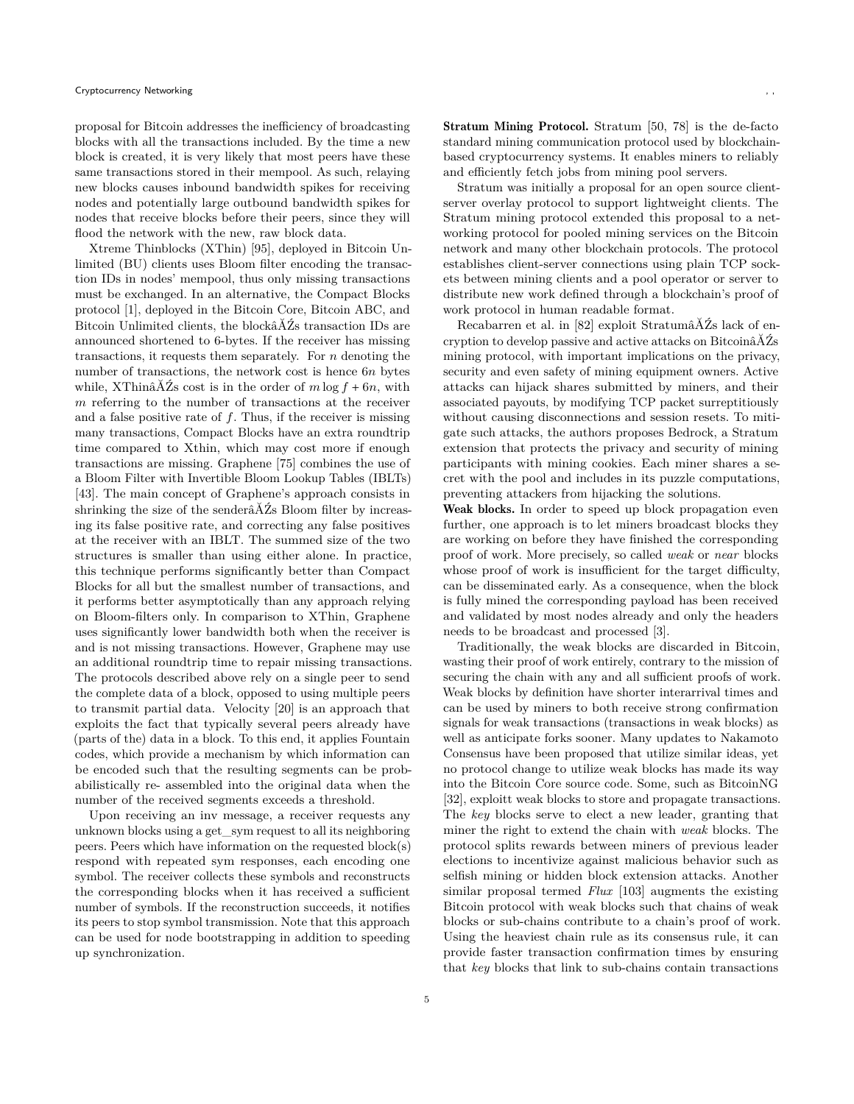proposal for Bitcoin addresses the inefficiency of broadcasting blocks with all the transactions included. By the time a new block is created, it is very likely that most peers have these same transactions stored in their mempool. As such, relaying new blocks causes inbound bandwidth spikes for receiving nodes and potentially large outbound bandwidth spikes for nodes that receive blocks before their peers, since they will flood the network with the new, raw block data.

Xtreme Thinblocks (XThin) [\[95\]](#page-17-9), deployed in Bitcoin Unlimited (BU) clients uses Bloom filter encoding the transaction IDs in nodes' mempool, thus only missing transactions must be exchanged. In an alternative, the Compact Blocks protocol [\[1\]](#page-15-8), deployed in the Bitcoin Core, Bitcoin ABC, and Bitcoin Unlimited clients, the blockâĂŹs transaction IDs are announced shortened to 6-bytes. If the receiver has missing transactions, it requests them separately. For  $n$  denoting the number of transactions, the network cost is hence  $6n$  bytes while, XThinâ $\check{A}Z$ s cost is in the order of  $m \log f + 6n$ , with  $m$  referring to the number of transactions at the receiver and a false positive rate of  $f$ . Thus, if the receiver is missing many transactions, Compact Blocks have an extra roundtrip time compared to Xthin, which may cost more if enough transactions are missing. Graphene [\[75\]](#page-17-10) combines the use of a Bloom Filter with Invertible Bloom Lookup Tables (IBLTs) [\[43\]](#page-16-14). The main concept of Graphene's approach consists in shrinking the size of the senderâ $\tilde{A}\tilde{Z}$ s Bloom filter by increasing its false positive rate, and correcting any false positives at the receiver with an IBLT. The summed size of the two structures is smaller than using either alone. In practice, this technique performs significantly better than Compact Blocks for all but the smallest number of transactions, and it performs better asymptotically than any approach relying on Bloom-filters only. In comparison to XThin, Graphene uses significantly lower bandwidth both when the receiver is and is not missing transactions. However, Graphene may use an additional roundtrip time to repair missing transactions. The protocols described above rely on a single peer to send the complete data of a block, opposed to using multiple peers to transmit partial data. Velocity [\[20\]](#page-15-9) is an approach that exploits the fact that typically several peers already have (parts of the) data in a block. To this end, it applies Fountain codes, which provide a mechanism by which information can be encoded such that the resulting segments can be probabilistically re- assembled into the original data when the number of the received segments exceeds a threshold.

Upon receiving an inv message, a receiver requests any unknown blocks using a get\_sym request to all its neighboring peers. Peers which have information on the requested block(s) respond with repeated sym responses, each encoding one symbol. The receiver collects these symbols and reconstructs the corresponding blocks when it has received a sufficient number of symbols. If the reconstruction succeeds, it notifies its peers to stop symbol transmission. Note that this approach can be used for node bootstrapping in addition to speeding up synchronization.

Stratum Mining Protocol. Stratum [\[50,](#page-16-15) [78\]](#page-17-11) is the de-facto standard mining communication protocol used by blockchainbased cryptocurrency systems. It enables miners to reliably and efficiently fetch jobs from mining pool servers.

Stratum was initially a proposal for an open source clientserver overlay protocol to support lightweight clients. The Stratum mining protocol extended this proposal to a networking protocol for pooled mining services on the Bitcoin network and many other blockchain protocols. The protocol establishes client-server connections using plain TCP sockets between mining clients and a pool operator or server to distribute new work defined through a blockchain's proof of work protocol in human readable format.

Recabarren et al. in [\[82\]](#page-17-12) exploit StratumâĂŹs lack of encryption to develop passive and active attacks on BitcoinâĂŹs mining protocol, with important implications on the privacy, security and even safety of mining equipment owners. Active attacks can hijack shares submitted by miners, and their associated payouts, by modifying TCP packet surreptitiously without causing disconnections and session resets. To mitigate such attacks, the authors proposes Bedrock, a Stratum extension that protects the privacy and security of mining participants with mining cookies. Each miner shares a secret with the pool and includes in its puzzle computations, preventing attackers from hijacking the solutions.

Weak blocks. In order to speed up block propagation even further, one approach is to let miners broadcast blocks they are working on before they have finished the corresponding proof of work. More precisely, so called *weak* or *near* blocks whose proof of work is insufficient for the target difficulty, can be disseminated early. As a consequence, when the block is fully mined the corresponding payload has been received and validated by most nodes already and only the headers needs to be broadcast and processed [\[3\]](#page-15-10).

Traditionally, the weak blocks are discarded in Bitcoin, wasting their proof of work entirely, contrary to the mission of securing the chain with any and all sufficient proofs of work. Weak blocks by definition have shorter interarrival times and can be used by miners to both receive strong confirmation signals for weak transactions (transactions in weak blocks) as well as anticipate forks sooner. Many updates to Nakamoto Consensus have been proposed that utilize similar ideas, yet no protocol change to utilize weak blocks has made its way into the Bitcoin Core source code. Some, such as BitcoinNG [\[32\]](#page-16-16), exploitt weak blocks to store and propagate transactions. The *key* blocks serve to elect a new leader, granting that miner the right to extend the chain with *weak* blocks. The protocol splits rewards between miners of previous leader elections to incentivize against malicious behavior such as selfish mining or hidden block extension attacks. Another similar proposal termed *Flux* [\[103\]](#page-17-13) augments the existing Bitcoin protocol with weak blocks such that chains of weak blocks or sub-chains contribute to a chain's proof of work. Using the heaviest chain rule as its consensus rule, it can provide faster transaction confirmation times by ensuring that *key* blocks that link to sub-chains contain transactions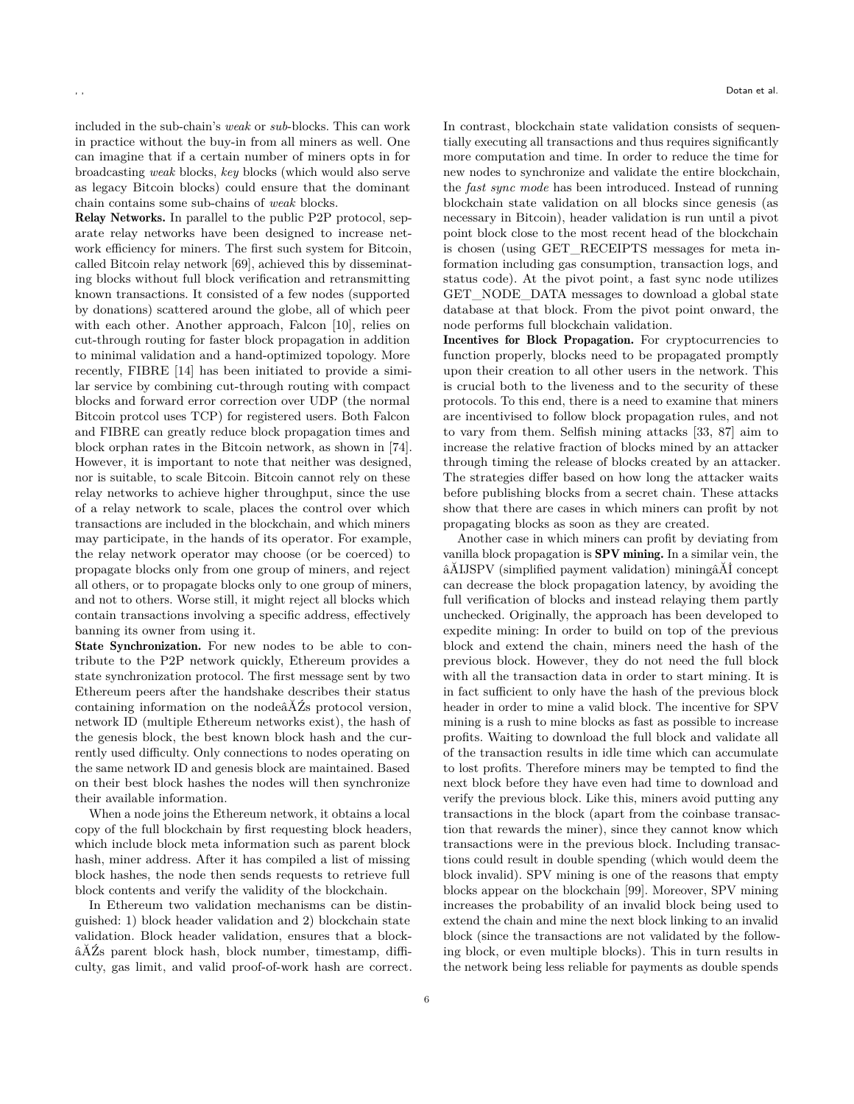included in the sub-chain's *weak* or *sub*-blocks. This can work in practice without the buy-in from all miners as well. One can imagine that if a certain number of miners opts in for broadcasting *weak* blocks, *key* blocks (which would also serve as legacy Bitcoin blocks) could ensure that the dominant chain contains some sub-chains of *weak* blocks.

Relay Networks. In parallel to the public P2P protocol, separate relay networks have been designed to increase network efficiency for miners. The first such system for Bitcoin, called Bitcoin relay network [\[69\]](#page-16-17), achieved this by disseminating blocks without full block verification and retransmitting known transactions. It consisted of a few nodes (supported by donations) scattered around the globe, all of which peer with each other. Another approach, Falcon [\[10\]](#page-15-11), relies on cut-through routing for faster block propagation in addition to minimal validation and a hand-optimized topology. More recently, FIBRE [\[14\]](#page-15-0) has been initiated to provide a similar service by combining cut-through routing with compact blocks and forward error correction over UDP (the normal Bitcoin protcol uses TCP) for registered users. Both Falcon and FIBRE can greatly reduce block propagation times and block orphan rates in the Bitcoin network, as shown in [\[74\]](#page-17-14). However, it is important to note that neither was designed, nor is suitable, to scale Bitcoin. Bitcoin cannot rely on these relay networks to achieve higher throughput, since the use of a relay network to scale, places the control over which transactions are included in the blockchain, and which miners may participate, in the hands of its operator. For example, the relay network operator may choose (or be coerced) to propagate blocks only from one group of miners, and reject all others, or to propagate blocks only to one group of miners, and not to others. Worse still, it might reject all blocks which contain transactions involving a specific address, effectively banning its owner from using it.

State Synchronization. For new nodes to be able to contribute to the P2P network quickly, Ethereum provides a state synchronization protocol. The first message sent by two Ethereum peers after the handshake describes their status containing information on the nodeâĂŹs protocol version, network ID (multiple Ethereum networks exist), the hash of the genesis block, the best known block hash and the currently used difficulty. Only connections to nodes operating on the same network ID and genesis block are maintained. Based on their best block hashes the nodes will then synchronize their available information.

When a node joins the Ethereum network, it obtains a local copy of the full blockchain by first requesting block headers, which include block meta information such as parent block hash, miner address. After it has compiled a list of missing block hashes, the node then sends requests to retrieve full block contents and verify the validity of the blockchain.

In Ethereum two validation mechanisms can be distinguished: 1) block header validation and 2) blockchain state validation. Block header validation, ensures that a blockâĂŹs parent block hash, block number, timestamp, difficulty, gas limit, and valid proof-of-work hash are correct. In contrast, blockchain state validation consists of sequentially executing all transactions and thus requires significantly more computation and time. In order to reduce the time for new nodes to synchronize and validate the entire blockchain, the *fast sync mode* has been introduced. Instead of running blockchain state validation on all blocks since genesis (as necessary in Bitcoin), header validation is run until a pivot point block close to the most recent head of the blockchain is chosen (using GET\_RECEIPTS messages for meta information including gas consumption, transaction logs, and status code). At the pivot point, a fast sync node utilizes GET NODE DATA messages to download a global state database at that block. From the pivot point onward, the node performs full blockchain validation.

Incentives for Block Propagation. For cryptocurrencies to function properly, blocks need to be propagated promptly upon their creation to all other users in the network. This is crucial both to the liveness and to the security of these protocols. To this end, there is a need to examine that miners are incentivised to follow block propagation rules, and not to vary from them. Selfish mining attacks [\[33,](#page-16-18) [87\]](#page-17-15) aim to increase the relative fraction of blocks mined by an attacker through timing the release of blocks created by an attacker. The strategies differ based on how long the attacker waits before publishing blocks from a secret chain. These attacks show that there are cases in which miners can profit by not propagating blocks as soon as they are created.

Another case in which miners can profit by deviating from vanilla block propagation is SPV mining. In a similar vein, the âĂIJSPV (simplified payment validation) miningâĂİ concept can decrease the block propagation latency, by avoiding the full verification of blocks and instead relaying them partly unchecked. Originally, the approach has been developed to expedite mining: In order to build on top of the previous block and extend the chain, miners need the hash of the previous block. However, they do not need the full block with all the transaction data in order to start mining. It is in fact sufficient to only have the hash of the previous block header in order to mine a valid block. The incentive for SPV mining is a rush to mine blocks as fast as possible to increase profits. Waiting to download the full block and validate all of the transaction results in idle time which can accumulate to lost profits. Therefore miners may be tempted to find the next block before they have even had time to download and verify the previous block. Like this, miners avoid putting any transactions in the block (apart from the coinbase transaction that rewards the miner), since they cannot know which transactions were in the previous block. Including transactions could result in double spending (which would deem the block invalid). SPV mining is one of the reasons that empty blocks appear on the blockchain [\[99\]](#page-17-16). Moreover, SPV mining increases the probability of an invalid block being used to extend the chain and mine the next block linking to an invalid block (since the transactions are not validated by the following block, or even multiple blocks). This in turn results in the network being less reliable for payments as double spends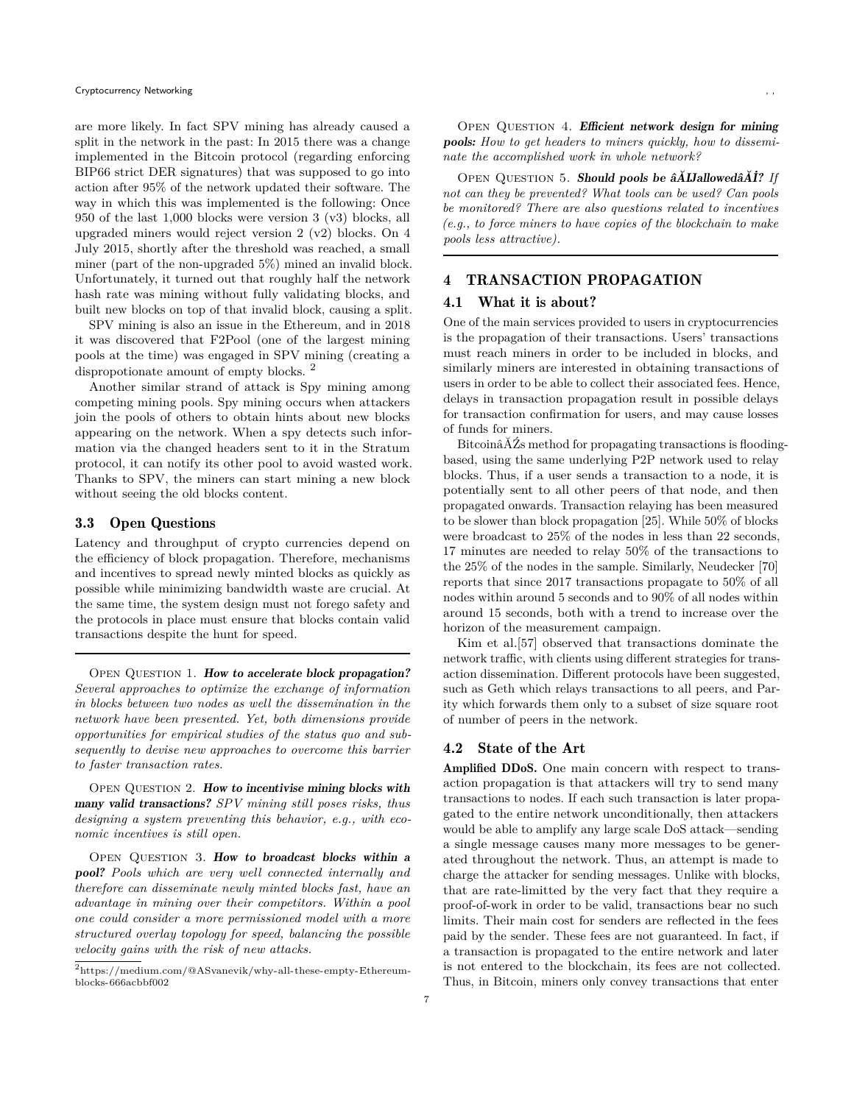are more likely. In fact SPV mining has already caused a split in the network in the past: In 2015 there was a change implemented in the Bitcoin protocol (regarding enforcing BIP66 strict DER signatures) that was supposed to go into action after 95% of the network updated their software. The way in which this was implemented is the following: Once 950 of the last 1,000 blocks were version 3 (v3) blocks, all upgraded miners would reject version 2 (v2) blocks. On 4 July 2015, shortly after the threshold was reached, a small miner (part of the non-upgraded 5%) mined an invalid block. Unfortunately, it turned out that roughly half the network hash rate was mining without fully validating blocks, and built new blocks on top of that invalid block, causing a split.

SPV mining is also an issue in the Ethereum, and in 2018 it was discovered that F2Pool (one of the largest mining pools at the time) was engaged in SPV mining (creating a dispropotionate amount of empty blocks. [2](#page-6-0)

Another similar strand of attack is Spy mining among competing mining pools. Spy mining occurs when attackers join the pools of others to obtain hints about new blocks appearing on the network. When a spy detects such information via the changed headers sent to it in the Stratum protocol, it can notify its other pool to avoid wasted work. Thanks to SPV, the miners can start mining a new block without seeing the old blocks content.

#### 3.3 Open Questions

Latency and throughput of crypto currencies depend on the efficiency of block propagation. Therefore, mechanisms and incentives to spread newly minted blocks as quickly as possible while minimizing bandwidth waste are crucial. At the same time, the system design must not forego safety and the protocols in place must ensure that blocks contain valid transactions despite the hunt for speed.

OPEN QUESTION 1. How to accelerate block propagation? *Several approaches to optimize the exchange of information in blocks between two nodes as well the dissemination in the network have been presented. Yet, both dimensions provide opportunities for empirical studies of the status quo and subsequently to devise new approaches to overcome this barrier to faster transaction rates.*

OPEN QUESTION 2. How to incentivise mining blocks with many valid transactions? *SPV mining still poses risks, thus designing a system preventing this behavior, e.g., with economic incentives is still open.*

OPEN QUESTION 3. How to broadcast blocks within a pool? *Pools which are very well connected internally and therefore can disseminate newly minted blocks fast, have an advantage in mining over their competitors. Within a pool one could consider a more permissioned model with a more structured overlay topology for speed, balancing the possible velocity gains with the risk of new attacks.*

OPEN QUESTION 4. Efficient network design for mining pools: *How to get headers to miners quickly, how to disseminate the accomplished work in whole network?*

Open Question 5. Should pools be âĂIJallowedâĂİ? *If not can they be prevented? What tools can be used? Can pools be monitored? There are also questions related to incentives (e.g., to force miners to have copies of the blockchain to make pools less attractive).*

## 4 TRANSACTION PROPAGATION

#### 4.1 What it is about?

One of the main services provided to users in cryptocurrencies is the propagation of their transactions. Users' transactions must reach miners in order to be included in blocks, and similarly miners are interested in obtaining transactions of users in order to be able to collect their associated fees. Hence, delays in transaction propagation result in possible delays for transaction confirmation for users, and may cause losses of funds for miners.

BitcoinâĂŹs method for propagating transactions is floodingbased, using the same underlying P2P network used to relay blocks. Thus, if a user sends a transaction to a node, it is potentially sent to all other peers of that node, and then propagated onwards. Transaction relaying has been measured to be slower than block propagation [\[25\]](#page-15-7). While 50% of blocks were broadcast to 25% of the nodes in less than 22 seconds, 17 minutes are needed to relay 50% of the transactions to the 25% of the nodes in the sample. Similarly, Neudecker [\[70\]](#page-16-13) reports that since 2017 transactions propagate to 50% of all nodes within around 5 seconds and to 90% of all nodes within around 15 seconds, both with a trend to increase over the horizon of the measurement campaign.

Kim et al.[\[57\]](#page-16-19) observed that transactions dominate the network traffic, with clients using different strategies for transaction dissemination. Different protocols have been suggested, such as Geth which relays transactions to all peers, and Parity which forwards them only to a subset of size square root of number of peers in the network.

# 4.2 State of the Art

Amplified DDoS. One main concern with respect to transaction propagation is that attackers will try to send many transactions to nodes. If each such transaction is later propagated to the entire network unconditionally, then attackers would be able to amplify any large scale DoS attack—sending a single message causes many more messages to be generated throughout the network. Thus, an attempt is made to charge the attacker for sending messages. Unlike with blocks, that are rate-limitted by the very fact that they require a proof-of-work in order to be valid, transactions bear no such limits. Their main cost for senders are reflected in the fees paid by the sender. These fees are not guaranteed. In fact, if a transaction is propagated to the entire network and later is not entered to the blockchain, its fees are not collected. Thus, in Bitcoin, miners only convey transactions that enter

<span id="page-6-0"></span> $^2$ [https://medium.com/@ASvanevik/why-all-these-empty-Ethereum](https://medium.com/@ASvanevik/why-all-these-empty-Ethereum-blocks-666acbbf002)[blocks-666acbbf002](https://medium.com/@ASvanevik/why-all-these-empty-Ethereum-blocks-666acbbf002)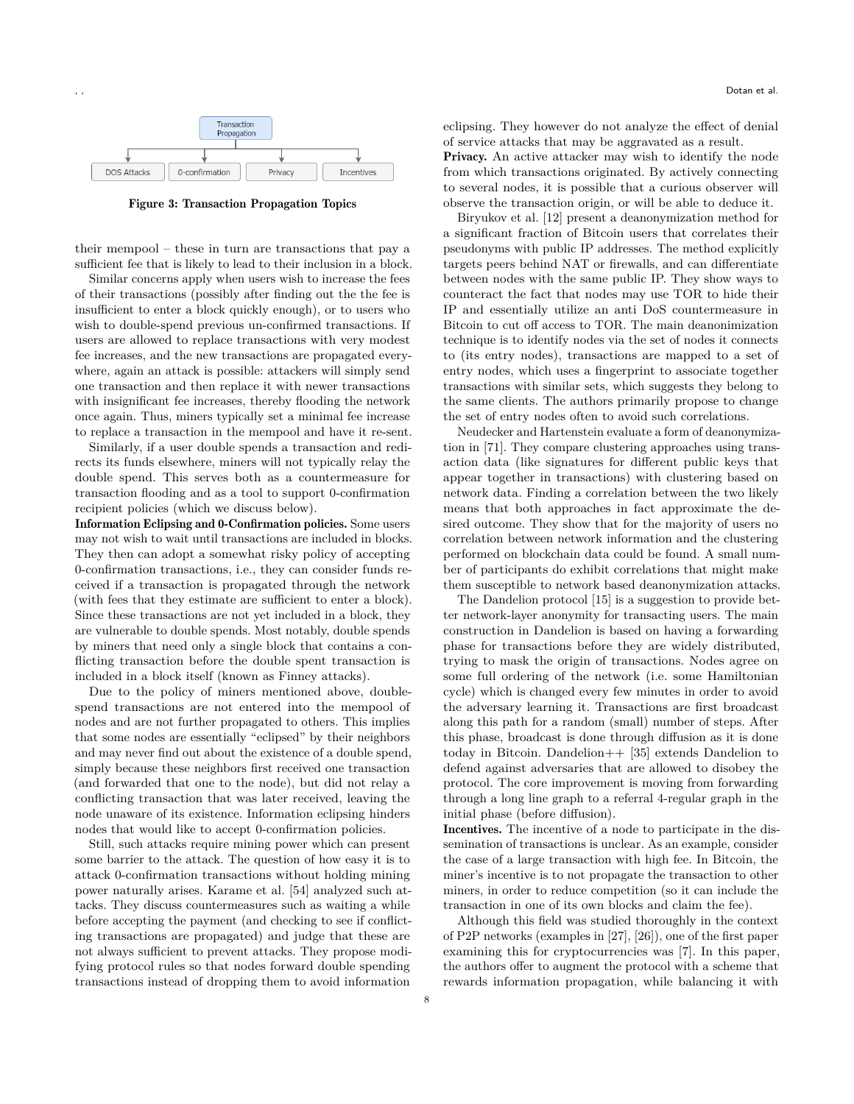

Figure 3: Transaction Propagation Topics

their mempool – these in turn are transactions that pay a sufficient fee that is likely to lead to their inclusion in a block.

Similar concerns apply when users wish to increase the fees of their transactions (possibly after finding out the the fee is insufficient to enter a block quickly enough), or to users who wish to double-spend previous un-confirmed transactions. If users are allowed to replace transactions with very modest fee increases, and the new transactions are propagated everywhere, again an attack is possible: attackers will simply send one transaction and then replace it with newer transactions with insignificant fee increases, thereby flooding the network once again. Thus, miners typically set a minimal fee increase to replace a transaction in the mempool and have it re-sent.

Similarly, if a user double spends a transaction and redirects its funds elsewhere, miners will not typically relay the double spend. This serves both as a countermeasure for transaction flooding and as a tool to support 0-confirmation recipient policies (which we discuss below).

Information Eclipsing and 0-Confirmation policies. Some users may not wish to wait until transactions are included in blocks. They then can adopt a somewhat risky policy of accepting 0-confirmation transactions, i.e., they can consider funds received if a transaction is propagated through the network (with fees that they estimate are sufficient to enter a block). Since these transactions are not yet included in a block, they are vulnerable to double spends. Most notably, double spends by miners that need only a single block that contains a conflicting transaction before the double spent transaction is included in a block itself (known as Finney attacks).

Due to the policy of miners mentioned above, doublespend transactions are not entered into the mempool of nodes and are not further propagated to others. This implies that some nodes are essentially "eclipsed" by their neighbors and may never find out about the existence of a double spend, simply because these neighbors first received one transaction (and forwarded that one to the node), but did not relay a conflicting transaction that was later received, leaving the node unaware of its existence. Information eclipsing hinders nodes that would like to accept 0-confirmation policies.

Still, such attacks require mining power which can present some barrier to the attack. The question of how easy it is to attack 0-confirmation transactions without holding mining power naturally arises. Karame et al. [\[54\]](#page-16-20) analyzed such attacks. They discuss countermeasures such as waiting a while before accepting the payment (and checking to see if conflicting transactions are propagated) and judge that these are not always sufficient to prevent attacks. They propose modifying protocol rules so that nodes forward double spending transactions instead of dropping them to avoid information

eclipsing. They however do not analyze the effect of denial of service attacks that may be aggravated as a result.

Privacy. An active attacker may wish to identify the node from which transactions originated. By actively connecting to several nodes, it is possible that a curious observer will observe the transaction origin, or will be able to deduce it.

Biryukov et al. [\[12\]](#page-15-12) present a deanonymization method for a significant fraction of Bitcoin users that correlates their pseudonyms with public IP addresses. The method explicitly targets peers behind NAT or firewalls, and can differentiate between nodes with the same public IP. They show ways to counteract the fact that nodes may use TOR to hide their IP and essentially utilize an anti DoS countermeasure in Bitcoin to cut off access to TOR. The main deanonimization technique is to identify nodes via the set of nodes it connects to (its entry nodes), transactions are mapped to a set of entry nodes, which uses a fingerprint to associate together transactions with similar sets, which suggests they belong to the same clients. The authors primarily propose to change the set of entry nodes often to avoid such correlations.

Neudecker and Hartenstein evaluate a form of deanonymization in [\[71\]](#page-17-17). They compare clustering approaches using transaction data (like signatures for different public keys that appear together in transactions) with clustering based on network data. Finding a correlation between the two likely means that both approaches in fact approximate the desired outcome. They show that for the majority of users no correlation between network information and the clustering performed on blockchain data could be found. A small number of participants do exhibit correlations that might make them susceptible to network based deanonymization attacks.

The Dandelion protocol [\[15\]](#page-15-13) is a suggestion to provide better network-layer anonymity for transacting users. The main construction in Dandelion is based on having a forwarding phase for transactions before they are widely distributed, trying to mask the origin of transactions. Nodes agree on some full ordering of the network (i.e. some Hamiltonian cycle) which is changed every few minutes in order to avoid the adversary learning it. Transactions are first broadcast along this path for a random (small) number of steps. After this phase, broadcast is done through diffusion as it is done today in Bitcoin. Dandelion++ [\[35\]](#page-16-21) extends Dandelion to defend against adversaries that are allowed to disobey the protocol. The core improvement is moving from forwarding through a long line graph to a referral 4-regular graph in the initial phase (before diffusion).

Incentives. The incentive of a node to participate in the dissemination of transactions is unclear. As an example, consider the case of a large transaction with high fee. In Bitcoin, the miner's incentive is to not propagate the transaction to other miners, in order to reduce competition (so it can include the transaction in one of its own blocks and claim the fee).

Although this field was studied thoroughly in the context of P2P networks (examples in [\[27\]](#page-15-14), [\[26\]](#page-15-15)), one of the first paper examining this for cryptocurrencies was [\[7\]](#page-15-16). In this paper, the authors offer to augment the protocol with a scheme that rewards information propagation, while balancing it with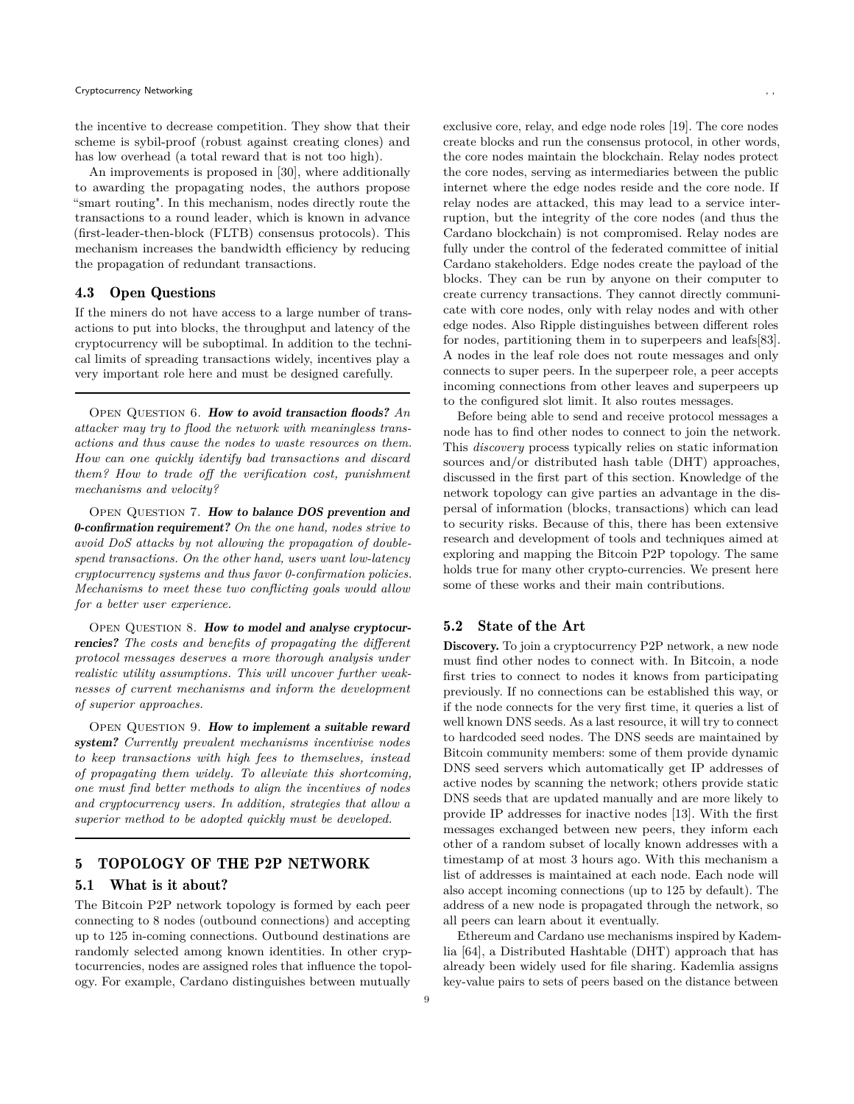the incentive to decrease competition. They show that their scheme is sybil-proof (robust against creating clones) and has low overhead (a total reward that is not too high).

An improvements is proposed in [\[30\]](#page-16-22), where additionally to awarding the propagating nodes, the authors propose "smart routing". In this mechanism, nodes directly route the transactions to a round leader, which is known in advance (first-leader-then-block (FLTB) consensus protocols). This mechanism increases the bandwidth efficiency by reducing the propagation of redundant transactions.

## 4.3 Open Questions

If the miners do not have access to a large number of transactions to put into blocks, the throughput and latency of the cryptocurrency will be suboptimal. In addition to the technical limits of spreading transactions widely, incentives play a very important role here and must be designed carefully.

OPEN QUESTION 6. How to avoid transaction floods? An *attacker may try to flood the network with meaningless transactions and thus cause the nodes to waste resources on them. How can one quickly identify bad transactions and discard them? How to trade off the verification cost, punishment mechanisms and velocity?*

OPEN QUESTION 7. How to balance DOS prevention and 0-confirmation requirement? *On the one hand, nodes strive to avoid DoS attacks by not allowing the propagation of doublespend transactions. On the other hand, users want low-latency cryptocurrency systems and thus favor 0-confirmation policies. Mechanisms to meet these two conflicting goals would allow for a better user experience.*

OPEN QUESTION 8. How to model and analyse cryptocurrencies? *The costs and benefits of propagating the different protocol messages deserves a more thorough analysis under realistic utility assumptions. This will uncover further weaknesses of current mechanisms and inform the development of superior approaches.*

OPEN QUESTION 9. How to implement a suitable reward system? *Currently prevalent mechanisms incentivise nodes to keep transactions with high fees to themselves, instead of propagating them widely. To alleviate this shortcoming, one must find better methods to align the incentives of nodes and cryptocurrency users. In addition, strategies that allow a superior method to be adopted quickly must be developed.*

# <span id="page-8-0"></span>5 TOPOLOGY OF THE P2P NETWORK

#### 5.1 What is it about?

The Bitcoin P2P network topology is formed by each peer connecting to 8 nodes (outbound connections) and accepting up to 125 in-coming connections. Outbound destinations are randomly selected among known identities. In other cryptocurrencies, nodes are assigned roles that influence the topology. For example, Cardano distinguishes between mutually

exclusive core, relay, and edge node roles [\[19\]](#page-15-5). The core nodes create blocks and run the consensus protocol, in other words, the core nodes maintain the blockchain. Relay nodes protect the core nodes, serving as intermediaries between the public internet where the edge nodes reside and the core node. If relay nodes are attacked, this may lead to a service interruption, but the integrity of the core nodes (and thus the Cardano blockchain) is not compromised. Relay nodes are fully under the control of the federated committee of initial Cardano stakeholders. Edge nodes create the payload of the blocks. They can be run by anyone on their computer to create currency transactions. They cannot directly communicate with core nodes, only with relay nodes and with other edge nodes. Also Ripple distinguishes between different roles for nodes, partitioning them in to superpeers and leafs[\[83\]](#page-17-18). A nodes in the leaf role does not route messages and only connects to super peers. In the superpeer role, a peer accepts incoming connections from other leaves and superpeers up to the configured slot limit. It also routes messages.

Before being able to send and receive protocol messages a node has to find other nodes to connect to join the network. This *discovery* process typically relies on static information sources and/or distributed hash table (DHT) approaches, discussed in the first part of this section. Knowledge of the network topology can give parties an advantage in the dispersal of information (blocks, transactions) which can lead to security risks. Because of this, there has been extensive research and development of tools and techniques aimed at exploring and mapping the Bitcoin P2P topology. The same holds true for many other crypto-currencies. We present here some of these works and their main contributions.

#### 5.2 State of the Art

Discovery. To join a cryptocurrency P2P network, a new node must find other nodes to connect with. In Bitcoin, a node first tries to connect to nodes it knows from participating previously. If no connections can be established this way, or if the node connects for the very first time, it queries a list of well known DNS seeds. As a last resource, it will try to connect to hardcoded seed nodes. The DNS seeds are maintained by Bitcoin community members: some of them provide dynamic DNS seed servers which automatically get IP addresses of active nodes by scanning the network; others provide static DNS seeds that are updated manually and are more likely to provide IP addresses for inactive nodes [\[13\]](#page-15-17). With the first messages exchanged between new peers, they inform each other of a random subset of locally known addresses with a timestamp of at most 3 hours ago. With this mechanism a list of addresses is maintained at each node. Each node will also accept incoming connections (up to 125 by default). The address of a new node is propagated through the network, so all peers can learn about it eventually.

Ethereum and Cardano use mechanisms inspired by Kademlia [\[64\]](#page-16-23), a Distributed Hashtable (DHT) approach that has already been widely used for file sharing. Kademlia assigns key-value pairs to sets of peers based on the distance between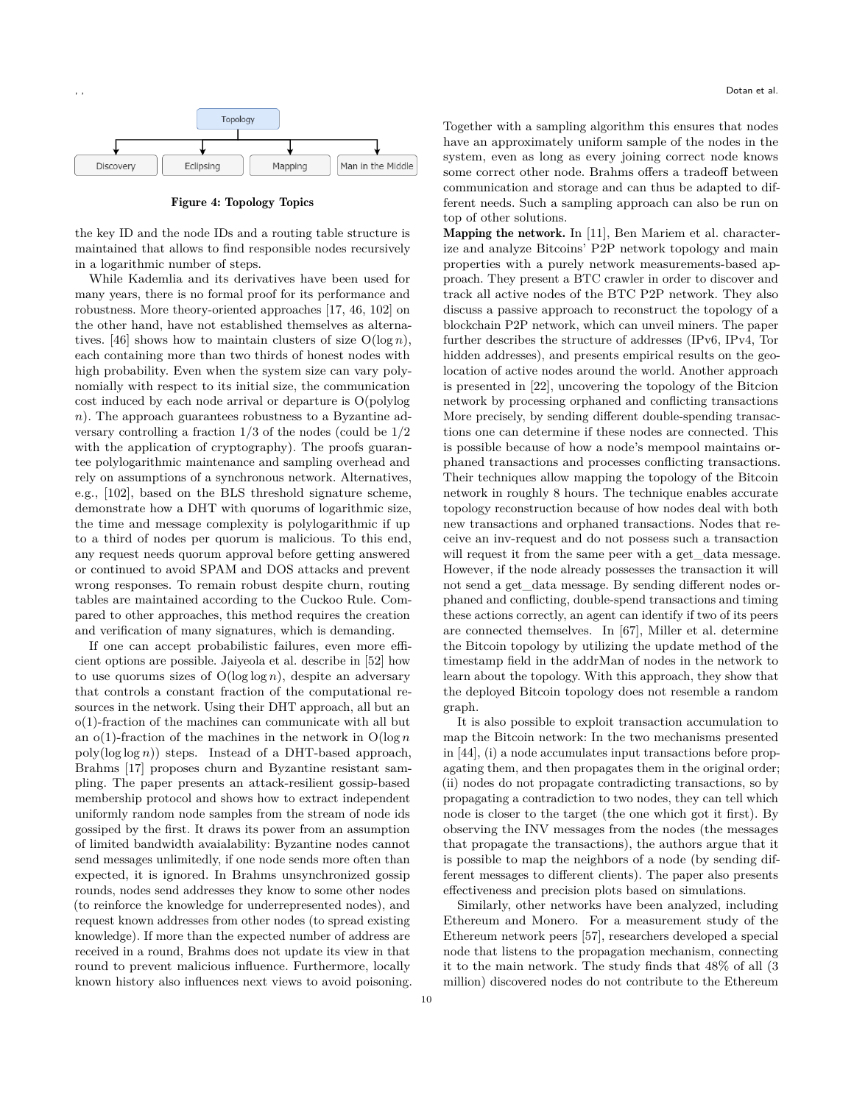

Figure 4: Topology Topics

the key ID and the node IDs and a routing table structure is maintained that allows to find responsible nodes recursively in a logarithmic number of steps.

While Kademlia and its derivatives have been used for many years, there is no formal proof for its performance and robustness. More theory-oriented approaches [\[17,](#page-15-18) [46,](#page-16-24) [102\]](#page-17-19) on the other hand, have not established themselves as alterna-tives. [\[46\]](#page-16-24) shows how to maintain clusters of size  $O(\log n)$ , each containing more than two thirds of honest nodes with high probability. Even when the system size can vary polynomially with respect to its initial size, the communication cost induced by each node arrival or departure is O(polylog  $n$ ). The approach guarantees robustness to a Byzantine adversary controlling a fraction 1/3 of the nodes (could be 1/2 with the application of cryptography). The proofs guarantee polylogarithmic maintenance and sampling overhead and rely on assumptions of a synchronous network. Alternatives, e.g., [\[102\]](#page-17-19), based on the BLS threshold signature scheme, demonstrate how a DHT with quorums of logarithmic size, the time and message complexity is polylogarithmic if up to a third of nodes per quorum is malicious. To this end, any request needs quorum approval before getting answered or continued to avoid SPAM and DOS attacks and prevent wrong responses. To remain robust despite churn, routing tables are maintained according to the Cuckoo Rule. Compared to other approaches, this method requires the creation and verification of many signatures, which is demanding.

If one can accept probabilistic failures, even more efficient options are possible. Jaiyeola et al. describe in [\[52\]](#page-16-25) how to use quorums sizes of  $O(\log \log n)$ , despite an adversary that controls a constant fraction of the computational resources in the network. Using their DHT approach, all but an o(1)-fraction of the machines can communicate with all but an  $o(1)$ -fraction of the machines in the network in  $O(\log n)$  $poly(log log n))$  steps. Instead of a DHT-based approach, Brahms [\[17\]](#page-15-18) proposes churn and Byzantine resistant sampling. The paper presents an attack-resilient gossip-based membership protocol and shows how to extract independent uniformly random node samples from the stream of node ids gossiped by the first. It draws its power from an assumption of limited bandwidth avaialability: Byzantine nodes cannot send messages unlimitedly, if one node sends more often than expected, it is ignored. In Brahms unsynchronized gossip rounds, nodes send addresses they know to some other nodes (to reinforce the knowledge for underrepresented nodes), and request known addresses from other nodes (to spread existing knowledge). If more than the expected number of address are received in a round, Brahms does not update its view in that round to prevent malicious influence. Furthermore, locally known history also influences next views to avoid poisoning. Together with a sampling algorithm this ensures that nodes have an approximately uniform sample of the nodes in the system, even as long as every joining correct node knows some correct other node. Brahms offers a tradeoff between communication and storage and can thus be adapted to different needs. Such a sampling approach can also be run on top of other solutions.

Mapping the network. In [\[11\]](#page-15-19), Ben Mariem et al. characterize and analyze Bitcoins' P2P network topology and main properties with a purely network measurements-based approach. They present a BTC crawler in order to discover and track all active nodes of the BTC P2P network. They also discuss a passive approach to reconstruct the topology of a blockchain P2P network, which can unveil miners. The paper further describes the structure of addresses (IPv6, IPv4, Tor hidden addresses), and presents empirical results on the geolocation of active nodes around the world. Another approach is presented in [\[22\]](#page-15-20), uncovering the topology of the Bitcion network by processing orphaned and conflicting transactions More precisely, by sending different double-spending transactions one can determine if these nodes are connected. This is possible because of how a node's mempool maintains orphaned transactions and processes conflicting transactions. Their techniques allow mapping the topology of the Bitcoin network in roughly 8 hours. The technique enables accurate topology reconstruction because of how nodes deal with both new transactions and orphaned transactions. Nodes that receive an inv-request and do not possess such a transaction will request it from the same peer with a get data message. However, if the node already possesses the transaction it will not send a get\_data message. By sending different nodes orphaned and conflicting, double-spend transactions and timing these actions correctly, an agent can identify if two of its peers are connected themselves. In [\[67\]](#page-16-26), Miller et al. determine the Bitcoin topology by utilizing the update method of the timestamp field in the addrMan of nodes in the network to learn about the topology. With this approach, they show that the deployed Bitcoin topology does not resemble a random graph.

It is also possible to exploit transaction accumulation to map the Bitcoin network: In the two mechanisms presented in [\[44\]](#page-16-27), (i) a node accumulates input transactions before propagating them, and then propagates them in the original order; (ii) nodes do not propagate contradicting transactions, so by propagating a contradiction to two nodes, they can tell which node is closer to the target (the one which got it first). By observing the INV messages from the nodes (the messages that propagate the transactions), the authors argue that it is possible to map the neighbors of a node (by sending different messages to different clients). The paper also presents effectiveness and precision plots based on simulations.

Similarly, other networks have been analyzed, including Ethereum and Monero. For a measurement study of the Ethereum network peers [\[57\]](#page-16-19), researchers developed a special node that listens to the propagation mechanism, connecting it to the main network. The study finds that 48% of all (3 million) discovered nodes do not contribute to the Ethereum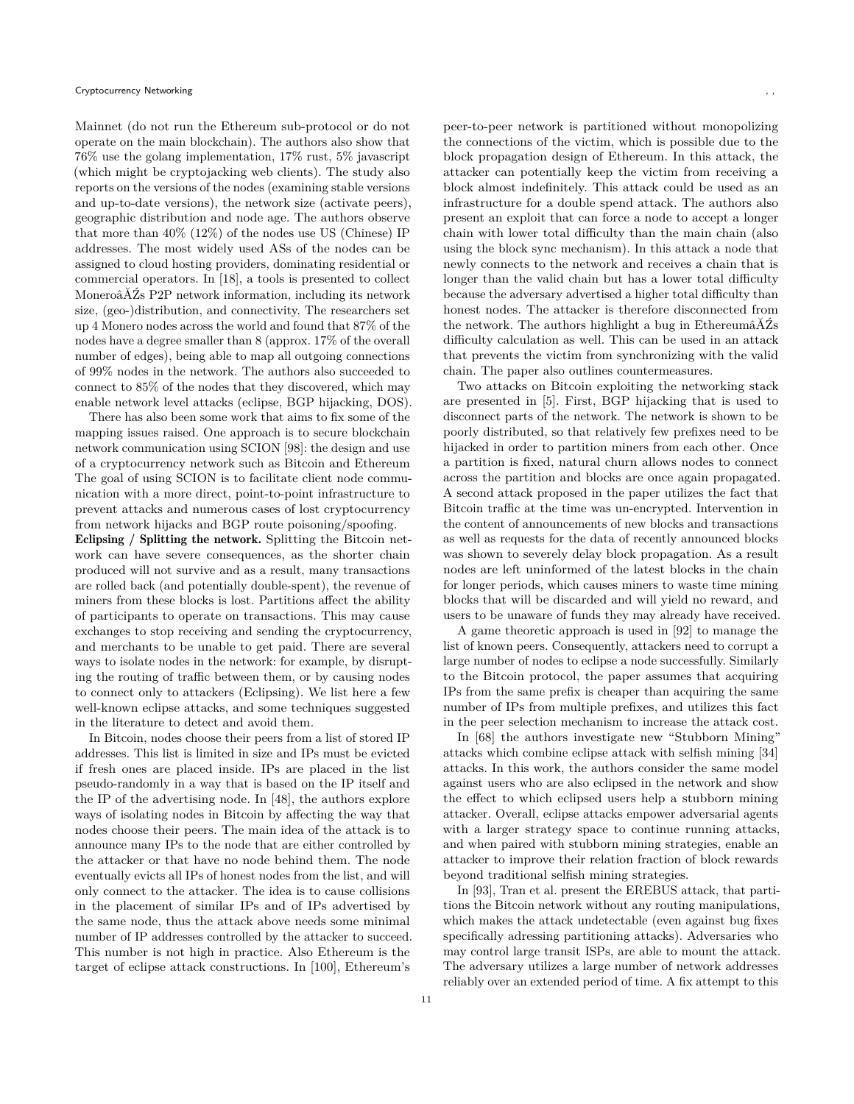Mainnet (do not run the Ethereum sub-protocol or do not operate on the main blockchain). The authors also show that 76% use the golang implementation, 17% rust, 5% javascript (which might be cryptojacking web clients). The study also reports on the versions of the nodes (examining stable versions and up-to-date versions), the network size (activate peers), geographic distribution and node age. The authors observe that more than 40% (12%) of the nodes use US (Chinese) IP addresses. The most widely used ASs of the nodes can be assigned to cloud hosting providers, dominating residential or commercial operators. In [\[18\]](#page-15-21), a tools is presented to collect MoneroâĂŹs P2P network information, including its network size, (geo-)distribution, and connectivity. The researchers set up 4 Monero nodes across the world and found that 87% of the nodes have a degree smaller than 8 (approx. 17% of the overall number of edges), being able to map all outgoing connections of 99% nodes in the network. The authors also succeeded to connect to 85% of the nodes that they discovered, which may enable network level attacks (eclipse, BGP hijacking, DOS).

There has also been some work that aims to fix some of the mapping issues raised. One approach is to secure blockchain network communication using SCION [\[98\]](#page-17-20): the design and use of a cryptocurrency network such as Bitcoin and Ethereum The goal of using SCION is to facilitate client node communication with a more direct, point-to-point infrastructure to prevent attacks and numerous cases of lost cryptocurrency from network hijacks and BGP route poisoning/spoofing.

Eclipsing / Splitting the network. Splitting the Bitcoin network can have severe consequences, as the shorter chain produced will not survive and as a result, many transactions are rolled back (and potentially double-spent), the revenue of miners from these blocks is lost. Partitions affect the ability of participants to operate on transactions. This may cause exchanges to stop receiving and sending the cryptocurrency, and merchants to be unable to get paid. There are several ways to isolate nodes in the network: for example, by disrupting the routing of traffic between them, or by causing nodes to connect only to attackers (Eclipsing). We list here a few well-known eclipse attacks, and some techniques suggested in the literature to detect and avoid them.

In Bitcoin, nodes choose their peers from a list of stored IP addresses. This list is limited in size and IPs must be evicted if fresh ones are placed inside. IPs are placed in the list pseudo-randomly in a way that is based on the IP itself and the IP of the advertising node. In [\[48\]](#page-16-28), the authors explore ways of isolating nodes in Bitcoin by affecting the way that nodes choose their peers. The main idea of the attack is to announce many IPs to the node that are either controlled by the attacker or that have no node behind them. The node eventually evicts all IPs of honest nodes from the list, and will only connect to the attacker. The idea is to cause collisions in the placement of similar IPs and of IPs advertised by the same node, thus the attack above needs some minimal number of IP addresses controlled by the attacker to succeed. This number is not high in practice. Also Ethereum is the target of eclipse attack constructions. In [\[100\]](#page-17-21), Ethereum's peer-to-peer network is partitioned without monopolizing the connections of the victim, which is possible due to the block propagation design of Ethereum. In this attack, the attacker can potentially keep the victim from receiving a block almost indefinitely. This attack could be used as an infrastructure for a double spend attack. The authors also present an exploit that can force a node to accept a longer chain with lower total difficulty than the main chain (also using the block sync mechanism). In this attack a node that newly connects to the network and receives a chain that is longer than the valid chain but has a lower total difficulty because the adversary advertised a higher total difficulty than honest nodes. The attacker is therefore disconnected from the network. The authors highlight a bug in EthereumâĂŹs difficulty calculation as well. This can be used in an attack

chain. The paper also outlines countermeasures. Two attacks on Bitcoin exploiting the networking stack are presented in [\[5\]](#page-15-22). First, BGP hijacking that is used to disconnect parts of the network. The network is shown to be poorly distributed, so that relatively few prefixes need to be hijacked in order to partition miners from each other. Once a partition is fixed, natural churn allows nodes to connect across the partition and blocks are once again propagated. A second attack proposed in the paper utilizes the fact that Bitcoin traffic at the time was un-encrypted. Intervention in the content of announcements of new blocks and transactions as well as requests for the data of recently announced blocks was shown to severely delay block propagation. As a result nodes are left uninformed of the latest blocks in the chain for longer periods, which causes miners to waste time mining blocks that will be discarded and will yield no reward, and users to be unaware of funds they may already have received.

that prevents the victim from synchronizing with the valid

A game theoretic approach is used in [\[92\]](#page-17-22) to manage the list of known peers. Consequently, attackers need to corrupt a large number of nodes to eclipse a node successfully. Similarly to the Bitcoin protocol, the paper assumes that acquiring IPs from the same prefix is cheaper than acquiring the same number of IPs from multiple prefixes, and utilizes this fact in the peer selection mechanism to increase the attack cost.

In [\[68\]](#page-16-29) the authors investigate new "Stubborn Mining" attacks which combine eclipse attack with selfish mining [\[34\]](#page-16-30) attacks. In this work, the authors consider the same model against users who are also eclipsed in the network and show the effect to which eclipsed users help a stubborn mining attacker. Overall, eclipse attacks empower adversarial agents with a larger strategy space to continue running attacks, and when paired with stubborn mining strategies, enable an attacker to improve their relation fraction of block rewards beyond traditional selfish mining strategies.

In [\[93\]](#page-17-23), Tran et al. present the EREBUS attack, that partitions the Bitcoin network without any routing manipulations, which makes the attack undetectable (even against bug fixes specifically adressing partitioning attacks). Adversaries who may control large transit ISPs, are able to mount the attack. The adversary utilizes a large number of network addresses reliably over an extended period of time. A fix attempt to this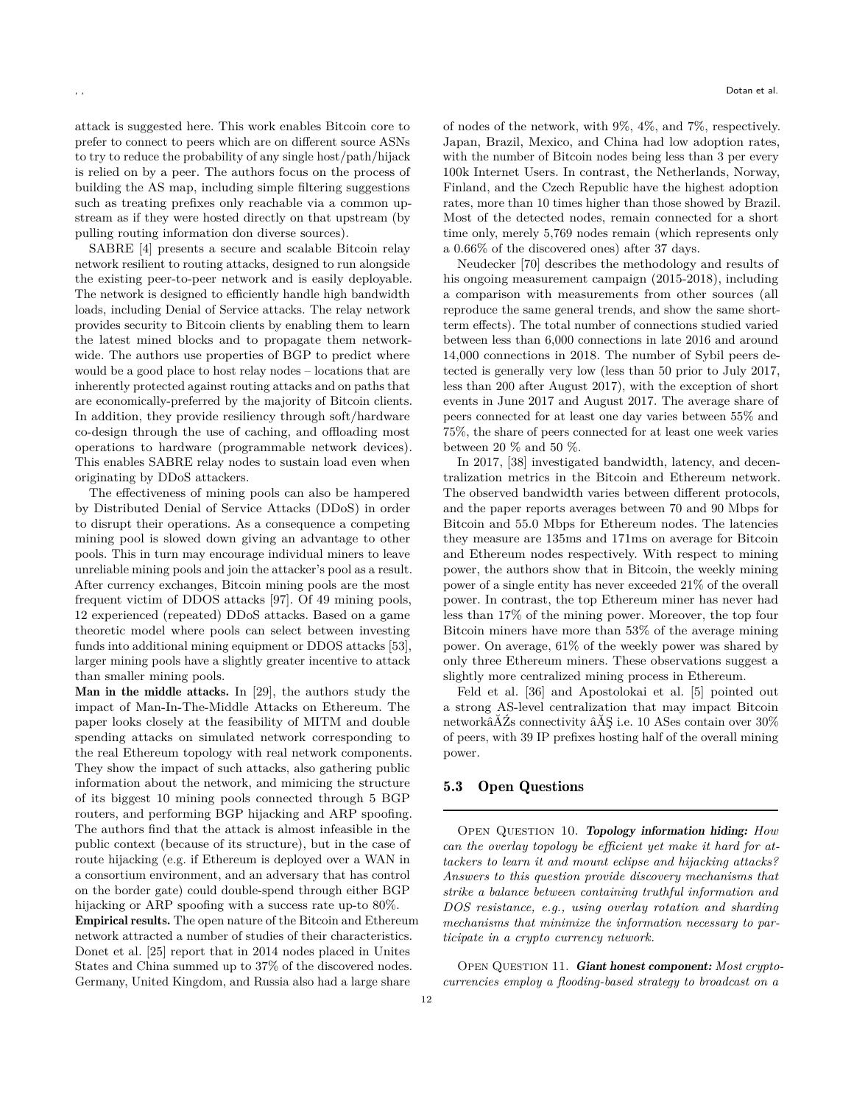attack is suggested [here.](https://github.com/Bitcoin/Bitcoin/pull/16702) This work enables Bitcoin core to prefer to connect to peers which are on different source ASNs to try to reduce the probability of any single host/path/hijack is relied on by a peer. The authors focus on the process of building the AS map, including simple filtering suggestions such as treating prefixes only reachable via a common upstream as if they were hosted directly on that upstream (by pulling routing information don diverse sources).

SABRE [\[4\]](#page-15-6) presents a secure and scalable Bitcoin relay network resilient to routing attacks, designed to run alongside the existing peer-to-peer network and is easily deployable. The network is designed to efficiently handle high bandwidth loads, including Denial of Service attacks. The relay network provides security to Bitcoin clients by enabling them to learn the latest mined blocks and to propagate them networkwide. The authors use properties of BGP to predict where would be a good place to host relay nodes – locations that are inherently protected against routing attacks and on paths that are economically-preferred by the majority of Bitcoin clients. In addition, they provide resiliency through soft/hardware co-design through the use of caching, and offloading most operations to hardware (programmable network devices). This enables SABRE relay nodes to sustain load even when originating by DDoS attackers.

The effectiveness of mining pools can also be hampered by Distributed Denial of Service Attacks (DDoS) in order to disrupt their operations. As a consequence a competing mining pool is slowed down giving an advantage to other pools. This in turn may encourage individual miners to leave unreliable mining pools and join the attacker's pool as a result. After currency exchanges, Bitcoin mining pools are the most frequent victim of DDOS attacks [\[97\]](#page-17-5). Of 49 mining pools, 12 experienced (repeated) DDoS attacks. Based on a game theoretic model where pools can select between investing funds into additional mining equipment or DDOS attacks [\[53\]](#page-16-9), larger mining pools have a slightly greater incentive to attack than smaller mining pools.

Man in the middle attacks. In [\[29\]](#page-16-31), the authors study the impact of Man-In-The-Middle Attacks on Ethereum. The paper looks closely at the feasibility of MITM and double spending attacks on simulated network corresponding to the real Ethereum topology with real network components. They show the impact of such attacks, also gathering public information about the network, and mimicing the structure of its biggest 10 mining pools connected through 5 BGP routers, and performing BGP hijacking and ARP spoofing. The authors find that the attack is almost infeasible in the public context (because of its structure), but in the case of route hijacking (e.g. if Ethereum is deployed over a WAN in a consortium environment, and an adversary that has control on the border gate) could double-spend through either BGP hijacking or ARP spoofing with a success rate up-to  $80\%$ .

Empirical results. The open nature of the Bitcoin and Ethereum network attracted a number of studies of their characteristics. Donet et al. [\[25\]](#page-15-7) report that in 2014 nodes placed in Unites States and China summed up to 37% of the discovered nodes. Germany, United Kingdom, and Russia also had a large share

of nodes of the network, with 9%, 4%, and 7%, respectively. Japan, Brazil, Mexico, and China had low adoption rates, with the number of Bitcoin nodes being less than 3 per every 100k Internet Users. In contrast, the Netherlands, Norway, Finland, and the Czech Republic have the highest adoption rates, more than 10 times higher than those showed by Brazil. Most of the detected nodes, remain connected for a short time only, merely 5,769 nodes remain (which represents only a 0.66% of the discovered ones) after 37 days.

Neudecker [\[70\]](#page-16-13) describes the methodology and results of his ongoing measurement campaign (2015-2018), including a comparison with measurements from other sources (all reproduce the same general trends, and show the same shortterm effects). The total number of connections studied varied between less than 6,000 connections in late 2016 and around 14,000 connections in 2018. The number of Sybil peers detected is generally very low (less than 50 prior to July 2017, less than 200 after August 2017), with the exception of short events in June 2017 and August 2017. The average share of peers connected for at least one day varies between 55% and 75%, the share of peers connected for at least one week varies between 20 % and 50 %.

In 2017, [\[38\]](#page-16-32) investigated bandwidth, latency, and decentralization metrics in the Bitcoin and Ethereum network. The observed bandwidth varies between different protocols, and the paper reports averages between 70 and 90 Mbps for Bitcoin and 55.0 Mbps for Ethereum nodes. The latencies they measure are 135ms and 171ms on average for Bitcoin and Ethereum nodes respectively. With respect to mining power, the authors show that in Bitcoin, the weekly mining power of a single entity has never exceeded 21% of the overall power. In contrast, the top Ethereum miner has never had less than 17% of the mining power. Moreover, the top four Bitcoin miners have more than 53% of the average mining power. On average, 61% of the weekly power was shared by only three Ethereum miners. These observations suggest a slightly more centralized mining process in Ethereum.

Feld et al. [\[36\]](#page-16-33) and Apostolokai et al. [\[5\]](#page-15-22) pointed out a strong AS-level centralization that may impact Bitcoin networkâĂŹs connectivity âĂŞ i.e. 10 ASes contain over 30% of peers, with 39 IP prefixes hosting half of the overall mining power.

#### 5.3 Open Questions

Open Question 10. Topology information hiding: *How can the overlay topology be efficient yet make it hard for attackers to learn it and mount eclipse and hijacking attacks? Answers to this question provide discovery mechanisms that strike a balance between containing truthful information and DOS resistance, e.g., using overlay rotation and sharding mechanisms that minimize the information necessary to participate in a crypto currency network.*

OPEN QUESTION 11. Giant honest component: Most crypto*currencies employ a flooding-based strategy to broadcast on a*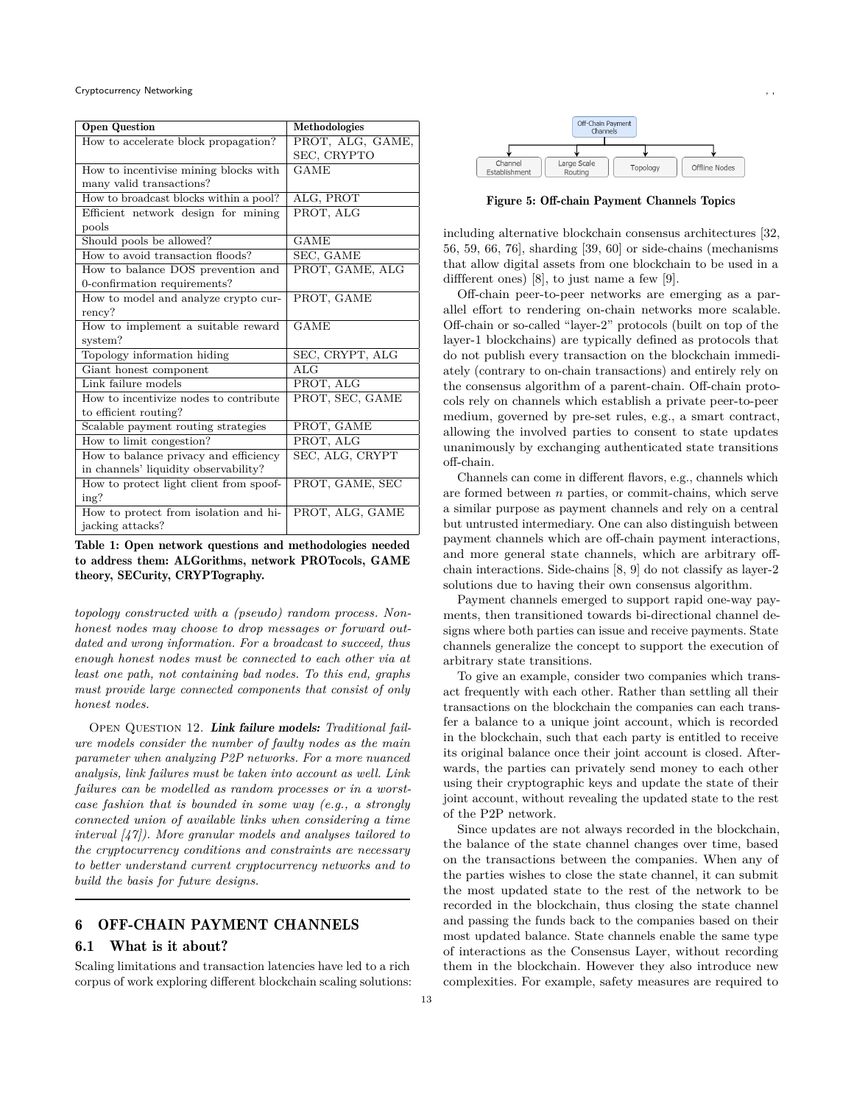#### Cryptocurrency Networking

| <b>Open Question</b>                    | Methodologies    |
|-----------------------------------------|------------------|
| How to accelerate block propagation?    | PROT, ALG, GAME, |
|                                         | SEC, CRYPTO      |
| How to incentivise mining blocks with   | GAME             |
| many valid transactions?                |                  |
| How to broadcast blocks within a pool?  | ALG, PROT        |
| Efficient network design for mining     | PROT, ALG        |
| pools                                   |                  |
| Should pools be allowed?                | <b>GAME</b>      |
| How to avoid transaction floods?        | SEC, GAME        |
| How to balance DOS prevention and       | PROT, GAME, ALG  |
| 0-confirmation requirements?            |                  |
| How to model and analyze crypto cur-    | PROT, GAME       |
| rency?                                  |                  |
| How to implement a suitable reward      | GAME             |
| system?                                 |                  |
| Topology information hiding             | SEC, CRYPT, ALG  |
| Giant honest component                  | ALG              |
| Link failure models                     | PROT, ALG        |
| How to incentivize nodes to contribute  | PROT, SEC, GAME  |
| to efficient routing?                   |                  |
| Scalable payment routing strategies     | PROT, GAME       |
| How to limit congestion?                | PROT, ALG        |
| How to balance privacy and efficiency   | SEC, ALG, CRYPT  |
| in channels' liquidity observability?   |                  |
| How to protect light client from spoof- | PROT, GAME, SEC  |
| ing?                                    |                  |
| How to protect from isolation and hi-   | PROT, ALG, GAME  |
| jacking attacks?                        |                  |

Table 1: Open network questions and methodologies needed to address them: ALGorithms, network PROTocols, GAME theory, SECurity, CRYPTography.

*topology constructed with a (pseudo) random process. Nonhonest nodes may choose to drop messages or forward outdated and wrong information. For a broadcast to succeed, thus enough honest nodes must be connected to each other via at least one path, not containing bad nodes. To this end, graphs must provide large connected components that consist of only honest nodes.*

OPEN QUESTION 12. Link failure models: Traditional fail*ure models consider the number of faulty nodes as the main parameter when analyzing P2P networks. For a more nuanced analysis, link failures must be taken into account as well. Link failures can be modelled as random processes or in a worstcase fashion that is bounded in some way (e.g., a strongly connected union of available links when considering a time interval [\[47\]](#page-16-34)). More granular models and analyses tailored to the cryptocurrency conditions and constraints are necessary to better understand current cryptocurrency networks and to build the basis for future designs.*

# <span id="page-12-0"></span>6 OFF-CHAIN PAYMENT CHANNELS

# 6.1 What is it about?

Scaling limitations and transaction latencies have led to a rich corpus of work exploring different blockchain scaling solutions:



Figure 5: Off-chain Payment Channels Topics

including alternative blockchain consensus architectures [\[32,](#page-16-16) [56,](#page-16-35) [59,](#page-16-36) [66,](#page-16-37) [76\]](#page-17-24), sharding [\[39,](#page-16-38) [60\]](#page-16-39) or side-chains (mechanisms that allow digital assets from one blockchain to be used in a diffferent ones) [\[8\]](#page-15-23), to just name a few [\[9\]](#page-15-24).

Off-chain peer-to-peer networks are emerging as a parallel effort to rendering on-chain networks more scalable. Off-chain or so-called "layer-2" protocols (built on top of the layer-1 blockchains) are typically defined as protocols that do not publish every transaction on the blockchain immediately (contrary to on-chain transactions) and entirely rely on the consensus algorithm of a parent-chain. Off-chain protocols rely on channels which establish a private peer-to-peer medium, governed by pre-set rules, e.g., a smart contract, allowing the involved parties to consent to state updates unanimously by exchanging authenticated state transitions off-chain.

Channels can come in different flavors, e.g., channels which are formed between  $n$  parties, or commit-chains, which serve a similar purpose as payment channels and rely on a central but untrusted intermediary. One can also distinguish between payment channels which are off-chain payment interactions, and more general state channels, which are arbitrary offchain interactions. Side-chains [\[8,](#page-15-23) [9\]](#page-15-24) do not classify as layer-2 solutions due to having their own consensus algorithm.

Payment channels emerged to support rapid one-way payments, then transitioned towards bi-directional channel designs where both parties can issue and receive payments. State channels generalize the concept to support the execution of arbitrary state transitions.

To give an example, consider two companies which transact frequently with each other. Rather than settling all their transactions on the blockchain the companies can each transfer a balance to a unique joint account, which is recorded in the blockchain, such that each party is entitled to receive its original balance once their joint account is closed. Afterwards, the parties can privately send money to each other using their cryptographic keys and update the state of their joint account, without revealing the updated state to the rest of the P2P network.

Since updates are not always recorded in the blockchain, the balance of the state channel changes over time, based on the transactions between the companies. When any of the parties wishes to close the state channel, it can submit the most updated state to the rest of the network to be recorded in the blockchain, thus closing the state channel and passing the funds back to the companies based on their most updated balance. State channels enable the same type of interactions as the Consensus Layer, without recording them in the blockchain. However they also introduce new complexities. For example, safety measures are required to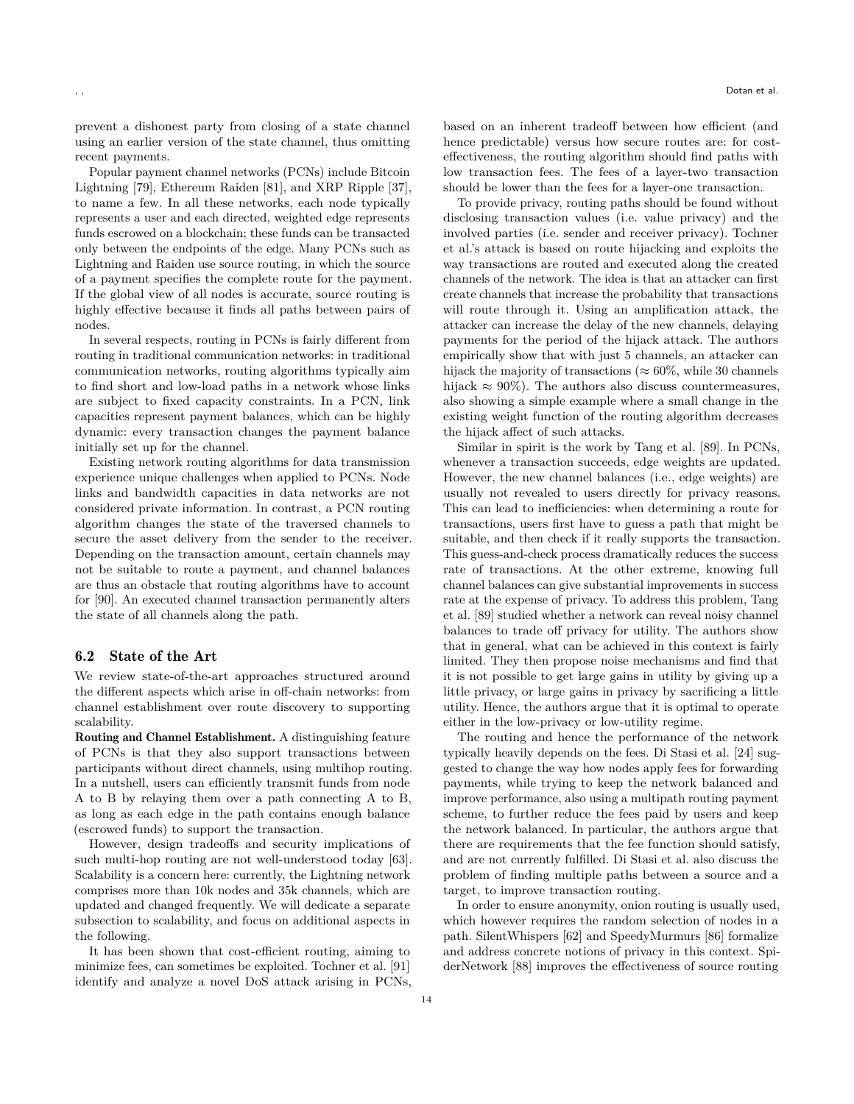prevent a dishonest party from closing of a state channel using an earlier version of the state channel, thus omitting recent payments.

Popular payment channel networks (PCNs) include Bitcoin Lightning [\[79\]](#page-17-25), Ethereum Raiden [\[81\]](#page-17-26), and XRP Ripple [\[37\]](#page-16-7), to name a few. In all these networks, each node typically represents a user and each directed, weighted edge represents funds escrowed on a blockchain; these funds can be transacted only between the endpoints of the edge. Many PCNs such as Lightning and Raiden use source routing, in which the source of a payment specifies the complete route for the payment. If the global view of all nodes is accurate, source routing is highly effective because it finds all paths between pairs of nodes.

In several respects, routing in PCNs is fairly different from routing in traditional communication networks: in traditional communication networks, routing algorithms typically aim to find short and low-load paths in a network whose links are subject to fixed capacity constraints. In a PCN, link capacities represent payment balances, which can be highly dynamic: every transaction changes the payment balance initially set up for the channel.

Existing network routing algorithms for data transmission experience unique challenges when applied to PCNs. Node links and bandwidth capacities in data networks are not considered private information. In contrast, a PCN routing algorithm changes the state of the traversed channels to secure the asset delivery from the sender to the receiver. Depending on the transaction amount, certain channels may not be suitable to route a payment, and channel balances are thus an obstacle that routing algorithms have to account for [\[90\]](#page-17-4). An executed channel transaction permanently alters the state of all channels along the path.

#### 6.2 State of the Art

We review state-of-the-art approaches structured around the different aspects which arise in off-chain networks: from channel establishment over route discovery to supporting scalability.

Routing and Channel Establishment. A distinguishing feature of PCNs is that they also support transactions between participants without direct channels, using multihop routing. In a nutshell, users can efficiently transmit funds from node A to B by relaying them over a path connecting A to B, as long as each edge in the path contains enough balance (escrowed funds) to support the transaction.

However, design tradeoffs and security implications of such multi-hop routing are not well-understood today [\[63\]](#page-16-40). Scalability is a concern here: currently, the Lightning network comprises more than 10k nodes and 35k channels, which are updated and changed frequently. We will dedicate a separate subsection to scalability, and focus on additional aspects in the following.

It has been shown that cost-efficient routing, aiming to minimize fees, can sometimes be exploited. Tochner et al. [\[91\]](#page-17-27) identify and analyze a novel DoS attack arising in PCNs, based on an inherent tradeoff between how efficient (and hence predictable) versus how secure routes are: for costeffectiveness, the routing algorithm should find paths with low transaction fees. The fees of a layer-two transaction should be lower than the fees for a layer-one transaction.

To provide privacy, routing paths should be found without disclosing transaction values (i.e. value privacy) and the involved parties (i.e. sender and receiver privacy). Tochner et al.'s attack is based on route hijacking and exploits the way transactions are routed and executed along the created channels of the network. The idea is that an attacker can first create channels that increase the probability that transactions will route through it. Using an amplification attack, the attacker can increase the delay of the new channels, delaying payments for the period of the hijack attack. The authors empirically show that with just 5 channels, an attacker can hijack the majority of transactions ( $\approx 60\%$ , while 30 channels hijack  $\approx 90\%$ ). The authors also discuss countermeasures, also showing a simple example where a small change in the existing weight function of the routing algorithm decreases the hijack affect of such attacks.

Similar in spirit is the work by Tang et al. [\[89\]](#page-17-28). In PCNs, whenever a transaction succeeds, edge weights are updated. However, the new channel balances (i.e., edge weights) are usually not revealed to users directly for privacy reasons. This can lead to inefficiencies: when determining a route for transactions, users first have to guess a path that might be suitable, and then check if it really supports the transaction. This guess-and-check process dramatically reduces the success rate of transactions. At the other extreme, knowing full channel balances can give substantial improvements in success rate at the expense of privacy. To address this problem, Tang et al. [\[89\]](#page-17-28) studied whether a network can reveal noisy channel balances to trade off privacy for utility. The authors show that in general, what can be achieved in this context is fairly limited. They then propose noise mechanisms and find that it is not possible to get large gains in utility by giving up a little privacy, or large gains in privacy by sacrificing a little utility. Hence, the authors argue that it is optimal to operate either in the low-privacy or low-utility regime.

The routing and hence the performance of the network typically heavily depends on the fees. Di Stasi et al. [\[24\]](#page-15-25) suggested to change the way how nodes apply fees for forwarding payments, while trying to keep the network balanced and improve performance, also using a multipath routing payment scheme, to further reduce the fees paid by users and keep the network balanced. In particular, the authors argue that there are requirements that the fee function should satisfy, and are not currently fulfilled. Di Stasi et al. also discuss the problem of finding multiple paths between a source and a target, to improve transaction routing.

In order to ensure anonymity, onion routing is usually used, which however requires the random selection of nodes in a path. SilentWhispers [\[62\]](#page-16-10) and SpeedyMurmurs [\[86\]](#page-17-6) formalize and address concrete notions of privacy in this context. SpiderNetwork [\[88\]](#page-17-7) improves the effectiveness of source routing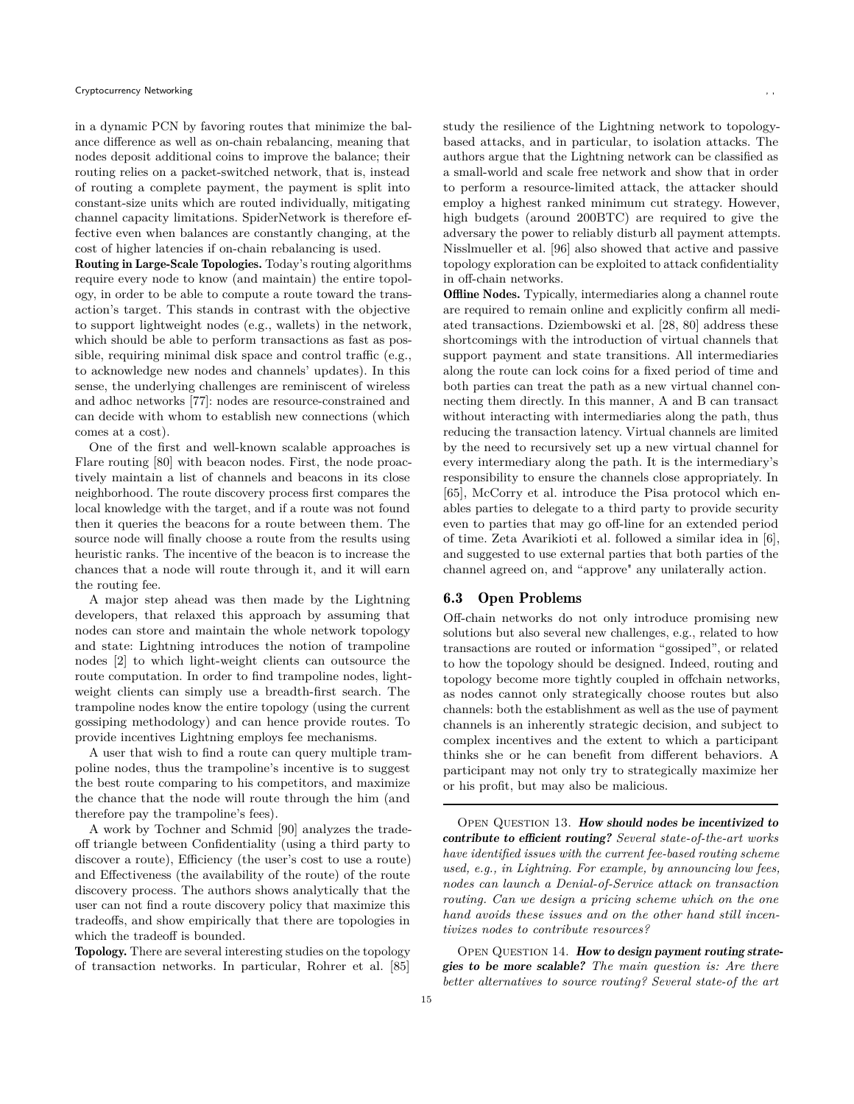in a dynamic PCN by favoring routes that minimize the balance difference as well as on-chain rebalancing, meaning that nodes deposit additional coins to improve the balance; their routing relies on a packet-switched network, that is, instead of routing a complete payment, the payment is split into constant-size units which are routed individually, mitigating channel capacity limitations. SpiderNetwork is therefore effective even when balances are constantly changing, at the cost of higher latencies if on-chain rebalancing is used.

Routing in Large-Scale Topologies. Today's routing algorithms require every node to know (and maintain) the entire topology, in order to be able to compute a route toward the transaction's target. This stands in contrast with the objective to support lightweight nodes (e.g., wallets) in the network, which should be able to perform transactions as fast as possible, requiring minimal disk space and control traffic (e.g., to acknowledge new nodes and channels' updates). In this sense, the underlying challenges are reminiscent of wireless and adhoc networks [\[77\]](#page-17-29): nodes are resource-constrained and can decide with whom to establish new connections (which comes at a cost).

One of the first and well-known scalable approaches is Flare routing [\[80\]](#page-17-30) with beacon nodes. First, the node proactively maintain a list of channels and beacons in its close neighborhood. The route discovery process first compares the local knowledge with the target, and if a route was not found then it queries the beacons for a route between them. The source node will finally choose a route from the results using heuristic ranks. The incentive of the beacon is to increase the chances that a node will route through it, and it will earn the routing fee.

A major step ahead was then made by the Lightning developers, that relaxed this approach by assuming that nodes can store and maintain the whole network topology and state: Lightning introduces the notion of trampoline nodes [\[2\]](#page-15-26) to which light-weight clients can outsource the route computation. In order to find trampoline nodes, lightweight clients can simply use a breadth-first search. The trampoline nodes know the entire topology (using the current gossiping methodology) and can hence provide routes. To provide incentives Lightning employs fee mechanisms.

A user that wish to find a route can query multiple trampoline nodes, thus the trampoline's incentive is to suggest the best route comparing to his competitors, and maximize the chance that the node will route through the him (and therefore pay the trampoline's fees).

A work by Tochner and Schmid [\[90\]](#page-17-4) analyzes the tradeoff triangle between Confidentiality (using a third party to discover a route), Efficiency (the user's cost to use a route) and Effectiveness (the availability of the route) of the route discovery process. The authors shows analytically that the user can not find a route discovery policy that maximize this tradeoffs, and show empirically that there are topologies in which the tradeoff is bounded.

Topology. There are several interesting studies on the topology of transaction networks. In particular, Rohrer et al. [\[85\]](#page-17-31) study the resilience of the Lightning network to topologybased attacks, and in particular, to isolation attacks. The authors argue that the Lightning network can be classified as a small-world and scale free network and show that in order to perform a resource-limited attack, the attacker should employ a highest ranked minimum cut strategy. However, high budgets (around 200BTC) are required to give the adversary the power to reliably disturb all payment attempts. Nisslmueller et al. [\[96\]](#page-17-32) also showed that active and passive topology exploration can be exploited to attack confidentiality in off-chain networks.

Offline Nodes. Typically, intermediaries along a channel route are required to remain online and explicitly confirm all mediated transactions. Dziembowski et al. [\[28,](#page-16-41) [80\]](#page-17-30) address these shortcomings with the introduction of virtual channels that support payment and state transitions. All intermediaries along the route can lock coins for a fixed period of time and both parties can treat the path as a new virtual channel connecting them directly. In this manner, A and B can transact without interacting with intermediaries along the path, thus reducing the transaction latency. Virtual channels are limited by the need to recursively set up a new virtual channel for every intermediary along the path. It is the intermediary's responsibility to ensure the channels close appropriately. In [\[65\]](#page-16-42), McCorry et al. introduce the Pisa protocol which enables parties to delegate to a third party to provide security even to parties that may go off-line for an extended period of time. Zeta Avarikioti et al. followed a similar idea in [\[6\]](#page-15-27), and suggested to use external parties that both parties of the channel agreed on, and "approve" any unilaterally action.

## 6.3 Open Problems

Off-chain networks do not only introduce promising new solutions but also several new challenges, e.g., related to how transactions are routed or information "gossiped", or related to how the topology should be designed. Indeed, routing and topology become more tightly coupled in offchain networks, as nodes cannot only strategically choose routes but also channels: both the establishment as well as the use of payment channels is an inherently strategic decision, and subject to complex incentives and the extent to which a participant thinks she or he can benefit from different behaviors. A participant may not only try to strategically maximize her or his profit, but may also be malicious.

OPEN QUESTION 13. How should nodes be incentivized to contribute to efficient routing? *Several state-of-the-art works have identified issues with the current fee-based routing scheme used, e.g., in Lightning. For example, by announcing low fees, nodes can launch a Denial-of-Service attack on transaction routing. Can we design a pricing scheme which on the one hand avoids these issues and on the other hand still incentivizes nodes to contribute resources?*

OPEN QUESTION 14. How to design payment routing strategies to be more scalable? *The main question is: Are there better alternatives to source routing? Several state-of the art*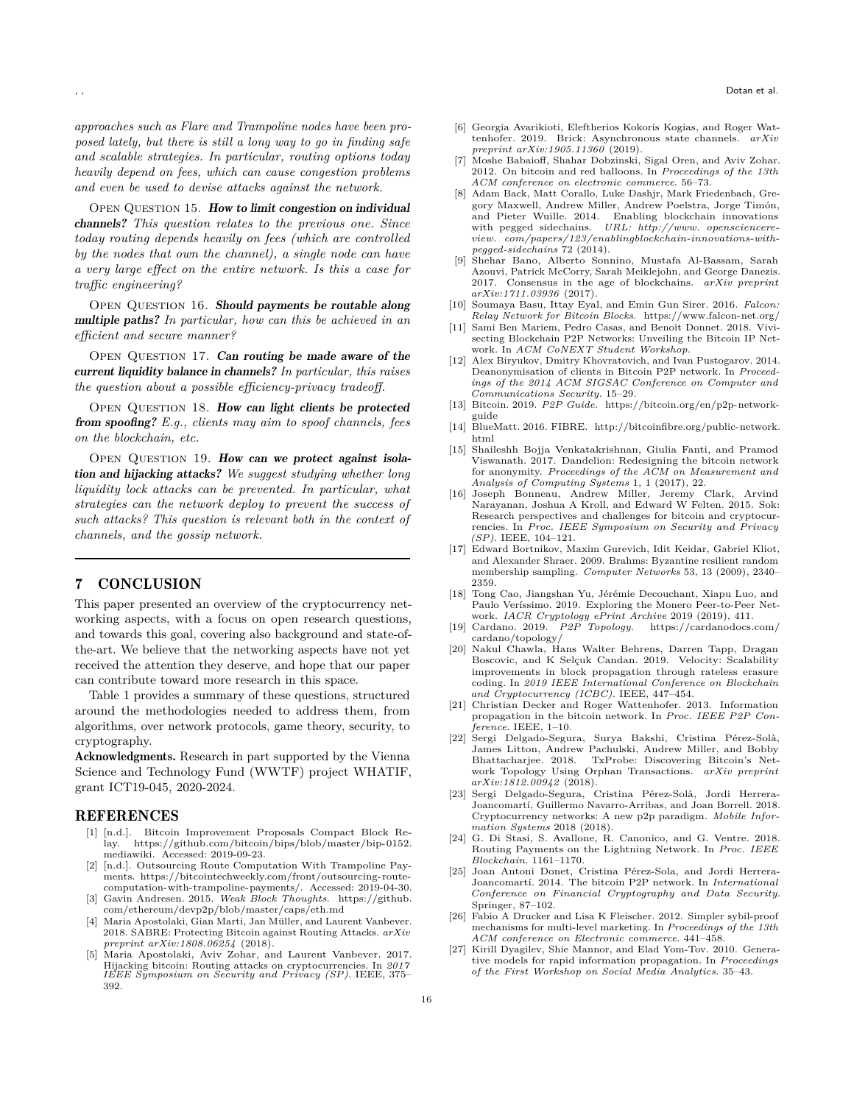*approaches such as Flare and Trampoline nodes have been proposed lately, but there is still a long way to go in finding safe and scalable strategies. In particular, routing options today heavily depend on fees, which can cause congestion problems and even be used to devise attacks against the network.*

OPEN QUESTION 15. How to limit congestion on individual channels? *This question relates to the previous one. Since today routing depends heavily on fees (which are controlled by the nodes that own the channel), a single node can have a very large effect on the entire network. Is this a case for traffic engineering?*

OPEN QUESTION 16. Should payments be routable along multiple paths? *In particular, how can this be achieved in an efficient and secure manner?*

OPEN QUESTION 17. Can routing be made aware of the current liquidity balance in channels? *In particular, this raises the question about a possible efficiency-privacy tradeoff.*

OPEN QUESTION 18. How can light clients be protected from spoofing? *E.g., clients may aim to spoof channels, fees on the blockchain, etc.*

OPEN QUESTION 19. How can we protect against isolation and hijacking attacks? *We suggest studying whether long liquidity lock attacks can be prevented. In particular, what strategies can the network deploy to prevent the success of such attacks? This question is relevant both in the context of channels, and the gossip network.*

# <span id="page-15-4"></span>7 CONCLUSION

This paper presented an overview of the cryptocurrency networking aspects, with a focus on open research questions, and towards this goal, covering also background and state-ofthe-art. We believe that the networking aspects have not yet received the attention they deserve, and hope that our paper can contribute toward more research in this space.

Table 1 provides a summary of these questions, structured around the methodologies needed to address them, from algorithms, over network protocols, game theory, security, to cryptography.

Acknowledgments. Research in part supported by the Vienna Science and Technology Fund (WWTF) project WHATIF, grant ICT19-045, 2020-2024.

#### REFERENCES

- <span id="page-15-8"></span>[1] [n.d.]. Bitcoin Improvement Proposals Compact Block Relay. [https://github.com/bitcoin/bips/blob/master/bip-0152.](https://github.com/bitcoin/bips/blob/master/bip-0152.mediawiki) [mediawiki.](https://github.com/bitcoin/bips/blob/master/bip-0152.mediawiki) Accessed: 2019-09-23.
- <span id="page-15-26"></span>[2] [n.d.]. Outsourcing Route Computation With Trampoline Payments. [https://bitcointechweekly.com/front/outsourcing-route](https://bitcointechweekly.com/front/outsourcing-route-computation-with-trampoline-payments/)[computation-with-trampoline-payments/.](https://bitcointechweekly.com/front/outsourcing-route-computation-with-trampoline-payments/) Accessed: 2019-04-30.
- <span id="page-15-10"></span>[3] Gavin Andresen. 2015. *Weak Block Thoughts*. [https://github.](https://github.com/ethereum/devp2p/blob/master/caps/eth.md) [com/ethereum/devp2p/blob/master/caps/eth.md](https://github.com/ethereum/devp2p/blob/master/caps/eth.md)
- <span id="page-15-6"></span>[4] Maria Apostolaki, Gian Marti, Jan Müller, and Laurent Vanbever. 2018. SABRE: Protecting Bitcoin against Routing Attacks. *arXiv preprint arXiv:1808.06254* (2018).
- <span id="page-15-22"></span>[5] Maria Apostolaki, Aviv Zohar, and Laurent Vanbever. 2017. Hijacking bitcoin: Routing attacks on cryptocurrencies. In *2017 IEEE Symposium on Security and Privacy (SP)*. IEEE, 375– 392.
- <span id="page-15-27"></span>[6] Georgia Avarikioti, Eleftherios Kokoris Kogias, and Roger Wattenhofer. 2019. Brick: Asynchronous state channels. *arXiv preprint arXiv:1905.11360* (2019).
- <span id="page-15-16"></span>[7] Moshe Babaioff, Shahar Dobzinski, Sigal Oren, and Aviv Zohar. 2012. On bitcoin and red balloons. In *Proceedings of the 13th ACM conference on electronic commerce*. 56–73.
- <span id="page-15-23"></span>[8] Adam Back, Matt Corallo, Luke Dashjr, Mark Friedenbach, Gregory Maxwell, Andrew Miller, Andrew Poelstra, Jorge Timón, and Pieter Wuille. 2014. Enabling blockchain innovations with pegged sidechains. *URL: http://www. opensciencereview. com/papers/123/enablingblockchain-innovations-withpegged-sidechains* 72 (2014).
- <span id="page-15-24"></span>[9] Shehar Bano, Alberto Sonnino, Mustafa Al-Bassam, Sarah Azouvi, Patrick McCorry, Sarah Meiklejohn, and George Danezis. 2017. Consensus in the age of blockchains. *arXiv preprint arXiv:1711.03936* (2017).
- <span id="page-15-11"></span>[10] Soumaya Basu, Ittay Eyal, and Emin Gun Sirer. 2016. *Falcon: Relay Network for Bitcoin Blocks*.<https://www.falcon-net.org/>
- <span id="page-15-19"></span>[11] Sami Ben Mariem, Pedro Casas, and Benoît Donnet. 2018. Vivisecting Blockchain P2P Networks: Unveiling the Bitcoin IP Network. In *ACM CoNEXT Student Workshop*.
- <span id="page-15-12"></span>[12] Alex Biryukov, Dmitry Khovratovich, and Ivan Pustogarov. 2014. Deanonymisation of clients in Bitcoin P2P network. In *Proceedings of the 2014 ACM SIGSAC Conference on Computer and Communications Security*. 15–29.
- <span id="page-15-17"></span>[13] Bitcoin. 2019. *P2P Guide*. [https://bitcoin.org/en/p2p-network](https://bitcoin.org/en/p2p-network-guide)[guide](https://bitcoin.org/en/p2p-network-guide)
- <span id="page-15-0"></span>[14] BlueMatt. 2016. FIBRE. [http://bitcoinfibre.org/public-network.](http://bitcoinfibre.org/public-network.html) [html](http://bitcoinfibre.org/public-network.html)
- <span id="page-15-13"></span>[15] Shaileshh Bojja Venkatakrishnan, Giulia Fanti, and Pramod Viswanath. 2017. Dandelion: Redesigning the bitcoin network for anonymity. *Proceedings of the ACM on Measurement and Analysis of Computing Systems* 1, 1 (2017), 22.
- <span id="page-15-2"></span>[16] Joseph Bonneau, Andrew Miller, Jeremy Clark, Arvind Narayanan, Joshua A Kroll, and Edward W Felten. 2015. Sok: Research perspectives and challenges for bitcoin and cryptocurrencies. In *Proc. IEEE Symposium on Security and Privacy (SP)*. IEEE, 104–121.
- <span id="page-15-18"></span>[17] Edward Bortnikov, Maxim Gurevich, Idit Keidar, Gabriel Kliot, and Alexander Shraer. 2009. Brahms: Byzantine resilient random membership sampling. *Computer Networks* 53, 13 (2009), 2340– 2359.
- <span id="page-15-21"></span>[18] Tong Cao, Jiangshan Yu, Jérémie Decouchant, Xiapu Luo, and Paulo Veríssimo. 2019. Exploring the Monero Peer-to-Peer Network. *IACR Cryptology ePrint Archive* 2019 (2019), 411.
- <span id="page-15-5"></span>[19] Cardano. 2019. *P2P Topology*. [https://cardanodocs.com/](https://cardanodocs.com/cardano/topology/) [cardano/topology/](https://cardanodocs.com/cardano/topology/)
- <span id="page-15-9"></span>[20] Nakul Chawla, Hans Walter Behrens, Darren Tapp, Dragan Boscovic, and K Selçuk Candan. 2019. Velocity: Scalability improvements in block propagation through rateless erasure coding. In *2019 IEEE International Conference on Blockchain and Cryptocurrency (ICBC)*. IEEE, 447–454.
- <span id="page-15-1"></span>[21] Christian Decker and Roger Wattenhofer. 2013. Information propagation in the bitcoin network. In *Proc. IEEE P2P Conference*. IEEE, 1–10.
- <span id="page-15-20"></span>[22] Sergi Delgado-Segura, Surya Bakshi, Cristina Pérez-Solà, James Litton, Andrew Pachulski, Andrew Miller, and Bobby TxProbe: Discovering Bitcoin's Network Topology Using Orphan Transactions. *arXiv preprint arXiv:1812.00942* (2018).
- <span id="page-15-3"></span>[23] Sergi Delgado-Segura, Cristina Pérez-Solà, Jordi Herrera-Joancomartí, Guillermo Navarro-Arribas, and Joan Borrell. 2018. Cryptocurrency networks: A new p2p paradigm. *Mobile Information Systems* 2018 (2018).
- <span id="page-15-25"></span>[24] G. Di Stasi, S. Avallone, R. Canonico, and G. Ventre. 2018. Routing Payments on the Lightning Network. In *Proc. IEEE Blockchain*. 1161–1170.
- <span id="page-15-7"></span>[25] Joan Antoni Donet, Cristina Pérez-Sola, and Jordi Herrera-Joancomartí. 2014. The bitcoin P2P network. In *International Conference on Financial Cryptography and Data Security*. Springer, 87–102.
- <span id="page-15-15"></span>[26] Fabio A Drucker and Lisa K Fleischer. 2012. Simpler sybil-proof mechanisms for multi-level marketing. In *Proceedings of the 13th ACM conference on Electronic commerce*. 441–458.
- <span id="page-15-14"></span>[27] Kirill Dyagilev, Shie Mannor, and Elad Yom-Tov. 2010. Generative models for rapid information propagation. In *Proceedings of the First Workshop on Social Media Analytics*. 35–43.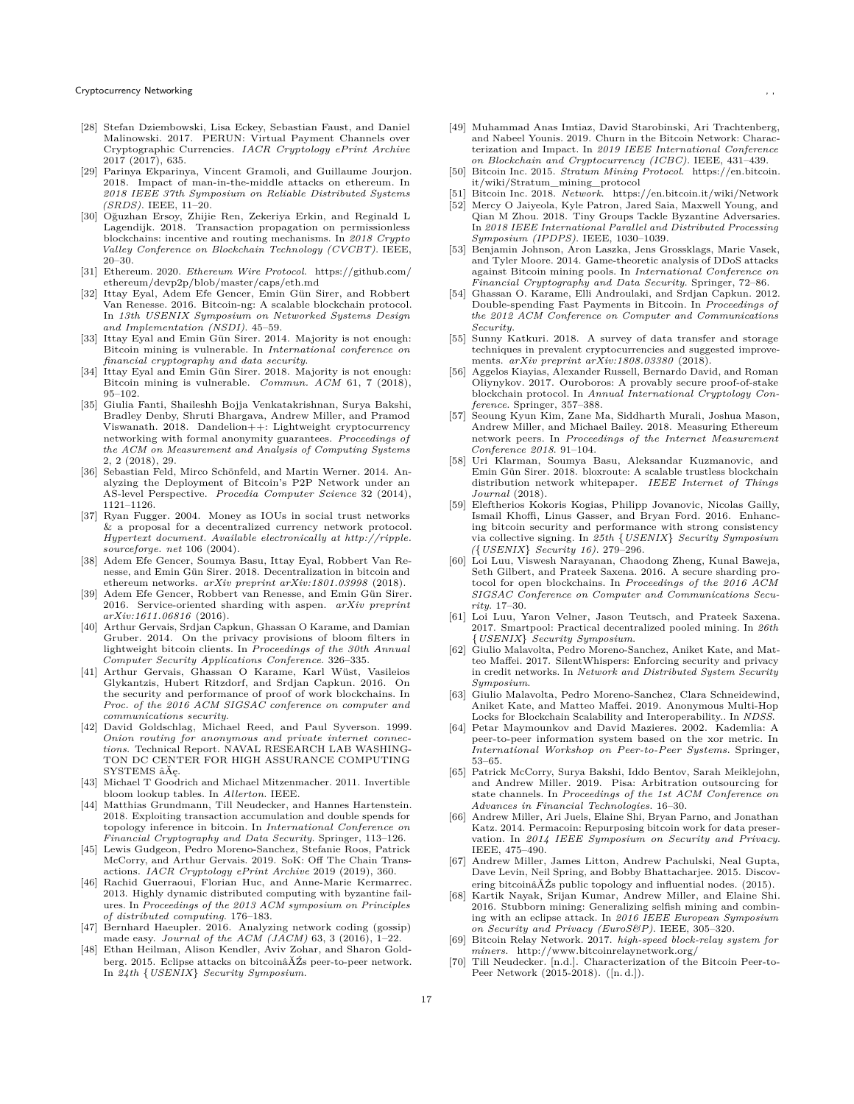- <span id="page-16-41"></span>[28] Stefan Dziembowski, Lisa Eckey, Sebastian Faust, and Daniel Malinowski. 2017. PERUN: Virtual Payment Channels over Cryptographic Currencies. *IACR Cryptology ePrint Archive* 2017 (2017), 635.
- <span id="page-16-31"></span>[29] Parinya Ekparinya, Vincent Gramoli, and Guillaume Jourjon. 2018. Impact of man-in-the-middle attacks on ethereum. In *2018 IEEE 37th Symposium on Reliable Distributed Systems (SRDS)*. IEEE, 11–20.
- <span id="page-16-22"></span>[30] Oğuzhan Ersoy, Zhijie Ren, Zekeriya Erkin, and Reginald L Lagendijk. 2018. Transaction propagation on permissionless blockchains: incentive and routing mechanisms. In *2018 Crypto Val ley Conference on Blockchain Technology (CVCBT)*. IEEE, 20–30.
- <span id="page-16-6"></span>[31] Ethereum. 2020. *Ethereum Wire Protocol*. [https://github.com/](https://github.com/ethereum/devp2p/blob/master/caps/eth.md) [ethereum/devp2p/blob/master/caps/eth.md](https://github.com/ethereum/devp2p/blob/master/caps/eth.md)
- <span id="page-16-16"></span>[32] Ittay Eyal, Adem Efe Gencer, Emin Gün Sirer, and Robbert Van Renesse. 2016. Bitcoin-ng: A scalable blockchain protocol. In *13th USENIX Symposium on Networked Systems Design and Implementation (NSDI)*. 45–59.
- <span id="page-16-18"></span>[33] Ittay Eyal and Emin Gün Sirer. 2014. Majority is not enough: Bitcoin mining is vulnerable. In *International conference on financial cryptography and data security*.
- <span id="page-16-30"></span>[34] Ittay Eyal and Emin Gün Sirer. 2018. Majority is not enough: Bitcoin mining is vulnerable. *Commun. ACM* 61, 7 (2018), 95–102.
- <span id="page-16-21"></span>[35] Giulia Fanti, Shaileshh Bojja Venkatakrishnan, Surya Bakshi, Bradley Denby, Shruti Bhargava, Andrew Miller, and Pramod Viswanath. 2018. Dandelion++: Lightweight cryptocurrency networking with formal anonymity guarantees. *Proceedings of the ACM on Measurement and Analysis of Computing Systems* 2, 2 (2018), 29.
- <span id="page-16-33"></span>[36] Sebastian Feld, Mirco Schönfeld, and Martin Werner. 2014. Analyzing the Deployment of Bitcoin's P2P Network under an AS-level Perspective. *Procedia Computer Science* 32 (2014), 1121–1126.
- <span id="page-16-7"></span>[37] Ryan Fugger. 2004. Money as IOUs in social trust networks  $&$  a proposal for a decentralized currency network protocol. *Hypertext document. Available electronical ly at http://ripple. sourceforge. net* 106 (2004).
- <span id="page-16-32"></span>[38] Adem Efe Gencer, Soumya Basu, Ittay Eyal, Robbert Van Renesse, and Emin Gün Sirer. 2018. Decentralization in bitcoin and ethereum networks. *arXiv preprint arXiv:1801.03998* (2018).
- <span id="page-16-38"></span>[39] Adem Efe Gencer, Robbert van Renesse, and Emin Gün Sirer. 2016. Service-oriented sharding with aspen. *arXiv preprint arXiv:1611.06816* (2016).
- <span id="page-16-2"></span>[40] Arthur Gervais, Srdjan Capkun, Ghassan O Karame, and Damian Gruber. 2014. On the privacy provisions of bloom filters in lightweight bitcoin clients. In *Proceedings of the 30th Annual Computer Security Applications Conference*. 326–335.
- <span id="page-16-1"></span>[41] Arthur Gervais, Ghassan O Karame, Karl Wüst, Vasileios Glykantzis, Hubert Ritzdorf, and Srdjan Capkun. 2016. On the security and performance of proof of work blockchains. In *Proc. of the 2016 ACM SIGSAC conference on computer and communications security*.
- <span id="page-16-8"></span>[42] David Goldschlag, Michael Reed, and Paul Syverson. 1999. *Onion routing for anonymous and private internet connections*. Technical Report. NAVAL RESEARCH LAB WASHING-TON DC CENTER FOR HIGH ASSURANCE COMPUTING SYSTEMS âĂę.
- <span id="page-16-14"></span>[43] Michael T Goodrich and Michael Mitzenmacher. 2011. Invertible bloom lookup tables. In *Al lerton*. IEEE.
- <span id="page-16-27"></span>[44] Matthias Grundmann, Till Neudecker, and Hannes Hartenstein. 2018. Exploiting transaction accumulation and double spends for topology inference in bitcoin. In *International Conference on Financial Cryptography and Data Security*. Springer, 113–126.
- <span id="page-16-3"></span>[45] Lewis Gudgeon, Pedro Moreno-Sanchez, Stefanie Roos, Patrick McCorry, and Arthur Gervais. 2019. SoK: Off The Chain Transactions. *IACR Cryptology ePrint Archive* 2019 (2019), 360.
- <span id="page-16-24"></span>[46] Rachid Guerraoui, Florian Huc, and Anne-Marie Kermarrec. 2013. Highly dynamic distributed computing with byzantine failures. In *Proceedings of the 2013 ACM symposium on Principles of distributed computing*. 176–183.
- <span id="page-16-34"></span>[47] Bernhard Haeupler. 2016. Analyzing network coding (gossip) made easy. *Journal of the ACM (JACM)* 63, 3 (2016), 1–22.
- <span id="page-16-28"></span>[48] Ethan Heilman, Alison Kendler, Aviv Zohar, and Sharon Goldberg. 2015. Eclipse attacks on bitcoinâĂŹs peer-to-peer network. In *24th* {*USENIX*} *Security Symposium*.
- <span id="page-16-11"></span>[49] Muhammad Anas Imtiaz, David Starobinski, Ari Trachtenberg, and Nabeel Younis. 2019. Churn in the Bitcoin Network: Characterization and Impact. In *2019 IEEE International Conference on Blockchain and Cryptocurrency (ICBC)*. IEEE, 431–439.
- <span id="page-16-15"></span>[50] Bitcoin Inc. 2015. *Stratum Mining Protocol*. [https://en.bitcoin.](https://en.bitcoin.it/wiki/Stratum_mining_protocol) [it/wiki/Stratum\\_mining\\_protocol](https://en.bitcoin.it/wiki/Stratum_mining_protocol)
- <span id="page-16-25"></span><span id="page-16-5"></span>[51] Bitcoin Inc. 2018. *Network*.<https://en.bitcoin.it/wiki/Network> Mercy O Jaiyeola, Kyle Patron, Jared Saia, Maxwell Young, and Qian M Zhou. 2018. Tiny Groups Tackle Byzantine Adversaries. In *2018 IEEE International Parallel and Distributed Processing Symposium (IPDPS)*. IEEE, 1030–1039.
- <span id="page-16-9"></span>[53] Benjamin Johnson, Aron Laszka, Jens Grossklags, Marie Vasek, and Tyler Moore. 2014. Game-theoretic analysis of DDoS attacks against Bitcoin mining pools. In *International Conference on Financial Cryptography and Data Security*. Springer, 72–86.
- <span id="page-16-20"></span>[54] Ghassan O. Karame, Elli Androulaki, and Srdjan Capkun. 2012. Double-spending Fast Payments in Bitcoin. In *Proceedings of the 2012 ACM Conference on Computer and Communications Security*.
- <span id="page-16-4"></span>[55] Sunny Katkuri. 2018. A survey of data transfer and storage techniques in prevalent cryptocurrencies and suggested improvements. *arXiv preprint arXiv:1808.03380* (2018).
- <span id="page-16-35"></span>[56] Aggelos Kiayias, Alexander Russell, Bernardo David, and Roman Oliynykov. 2017. Ouroboros: A provably secure proof-of-stake blockchain protocol. In *Annual International Cryptology Conference*. Springer, 357–388.
- <span id="page-16-19"></span>[57] Seoung Kyun Kim, Zane Ma, Siddharth Murali, Joshua Mason, Andrew Miller, and Michael Bailey. 2018. Measuring Ethereum network peers. In *Proceedings of the Internet Measurement Conference 2018*. 91–104.
- <span id="page-16-0"></span>[58] Uri Klarman, Soumya Basu, Aleksandar Kuzmanovic, and Emin Gün Sirer. 2018. bloxroute: A scalable trustless blockchain distribution network whitepaper. *IEEE Internet of Things Journal* (2018).
- <span id="page-16-36"></span>[59] Eleftherios Kokoris Kogias, Philipp Jovanovic, Nicolas Gailly, Ismail Khoffi, Linus Gasser, and Bryan Ford. 2016. Enhancing bitcoin security and performance with strong consistency via collective signing. In *25th* {*USENIX*} *Security Symposium (*{*USENIX*} *Security 16)*. 279–296.
- <span id="page-16-39"></span>[60] Loi Luu, Viswesh Narayanan, Chaodong Zheng, Kunal Baweja, Seth Gilbert, and Prateek Saxena. 2016. A secure sharding protocol for open blockchains. In *Proceedings of the 2016 ACM SIGSAC Conference on Computer and Communications Security*. 17–30.
- <span id="page-16-12"></span>[61] Loi Luu, Yaron Velner, Jason Teutsch, and Prateek Saxena. 2017. Smartpool: Practical decentralized pooled mining. In *26th* {*USENIX*} *Security Symposium*.
- <span id="page-16-10"></span>[62] Giulio Malavolta, Pedro Moreno-Sanchez, Aniket Kate, and Matteo Maffei. 2017. SilentWhispers: Enforcing security and privacy in credit networks. In *Network and Distributed System Security Symposium*.
- <span id="page-16-40"></span>[63] Giulio Malavolta, Pedro Moreno-Sanchez, Clara Schneidewind, Aniket Kate, and Matteo Maffei. 2019. Anonymous Multi-Hop Locks for Blockchain Scalability and Interoperability.. In *NDSS*.
- <span id="page-16-23"></span>[64] Petar Maymounkov and David Mazieres. 2002. Kademlia: A peer-to-peer information system based on the xor metric. In *International Workshop on Peer-to-Peer Systems*. Springer, 53–65.
- <span id="page-16-42"></span>[65] Patrick McCorry, Surya Bakshi, Iddo Bentov, Sarah Meiklejohn, and Andrew Miller. 2019. Pisa: Arbitration outsourcing for state channels. In *Proceedings of the 1st ACM Conference on Advances in Financial Technologies*. 16–30.
- <span id="page-16-37"></span>[66] Andrew Miller, Ari Juels, Elaine Shi, Bryan Parno, and Jonathan Katz. 2014. Permacoin: Repurposing bitcoin work for data preservation. In *2014 IEEE Symposium on Security and Privacy*. IEEE, 475–490.
- <span id="page-16-26"></span>[67] Andrew Miller, James Litton, Andrew Pachulski, Neal Gupta, Dave Levin, Neil Spring, and Bobby Bhattacharjee. 2015. Discovering bitcoinâĂŹs public topology and influential nodes. (2015).
- <span id="page-16-29"></span>[68] Kartik Nayak, Srijan Kumar, Andrew Miller, and Elaine Shi. 2016. Stubborn mining: Generalizing selfish mining and combining with an eclipse attack. In *2016 IEEE European Symposium on Security and Privacy (EuroS&P)*. IEEE, 305–320.
- <span id="page-16-17"></span>[69] Bitcoin Relay Network. 2017. *high-speed block-relay system for miners*.<http://www.bitcoinrelaynetwork.org/>
- <span id="page-16-13"></span>[70] Till Neudecker. [n.d.]. Characterization of the Bitcoin Peer-to-Peer Network (2015-2018). ([n. d.]).